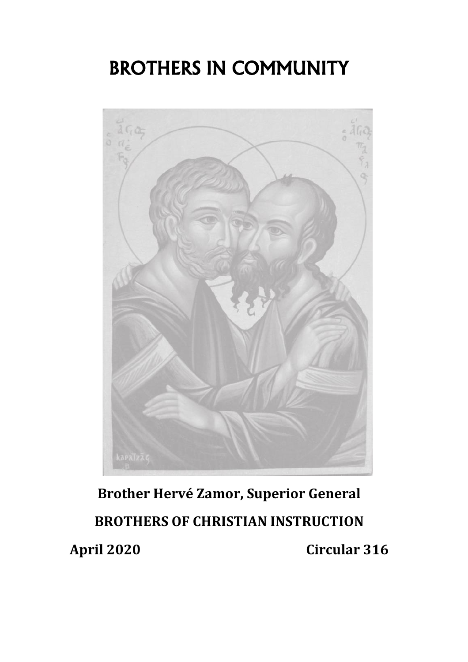# BROTHERS IN COMMUNITY



# **Brother Hervé Zamor, Superior General BROTHERS OF CHRISTIAN INSTRUCTION April 2020 Circular 316**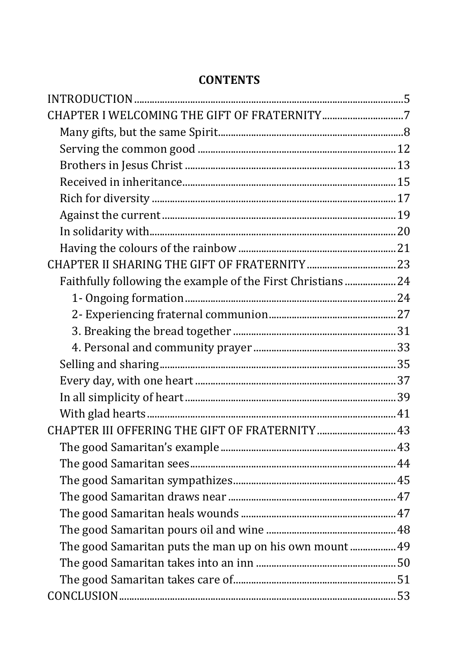| Faithfully following the example of the First Christians  24 |  |
|--------------------------------------------------------------|--|
|                                                              |  |
|                                                              |  |
|                                                              |  |
|                                                              |  |
|                                                              |  |
|                                                              |  |
|                                                              |  |
|                                                              |  |
|                                                              |  |
|                                                              |  |
|                                                              |  |
|                                                              |  |
|                                                              |  |
|                                                              |  |
|                                                              |  |
| The good Samaritan puts the man up on his own mount 49       |  |
|                                                              |  |
|                                                              |  |
|                                                              |  |

#### **CONTENTS**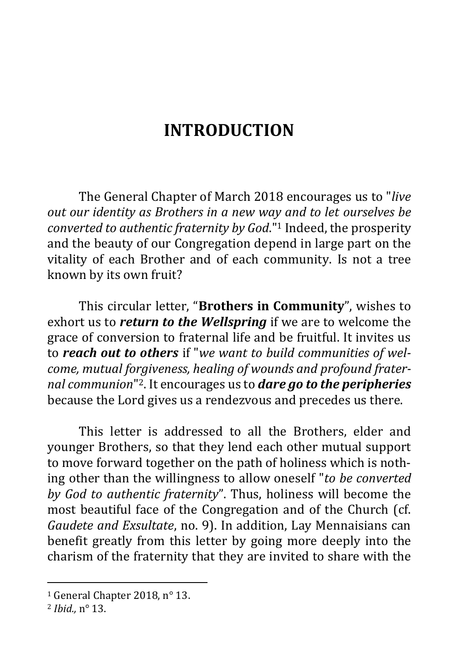## **INTRODUCTION**

<span id="page-4-0"></span>The General Chapter of March 2018 encourages us to "*live out our identity as Brothers in a new way and to let ourselves be converted to authentic fraternity by God*."<sup>1</sup> Indeed, the prosperity and the beauty of our Congregation depend in large part on the vitality of each Brother and of each community. Is not a tree known by its own fruit?

This circular letter, "**Brothers in Community**", wishes to exhort us to *return to the Wellspring* if we are to welcome the grace of conversion to fraternal life and be fruitful. It invites us to *reach out to others* if "*we want to build communities of welcome, mutual forgiveness, healing of wounds and profound fraternal communion*" <sup>2</sup>. It encourages us to *dare go to the peripheries* because the Lord gives us a rendezvous and precedes us there.

This letter is addressed to all the Brothers, elder and younger Brothers, so that they lend each other mutual support to move forward together on the path of holiness which is nothing other than the willingness to allow oneself "*to be converted by God to authentic fraternity*". Thus, holiness will become the most beautiful face of the Congregation and of the Church (cf. *Gaudete and Exsultate*, no. 9). In addition, Lay Mennaisians can benefit greatly from this letter by going more deeply into the charism of the fraternity that they are invited to share with the

<sup>&</sup>lt;sup>1</sup> General Chapter 2018, n° 13.

<sup>2</sup> *Ibid.,* n° 13.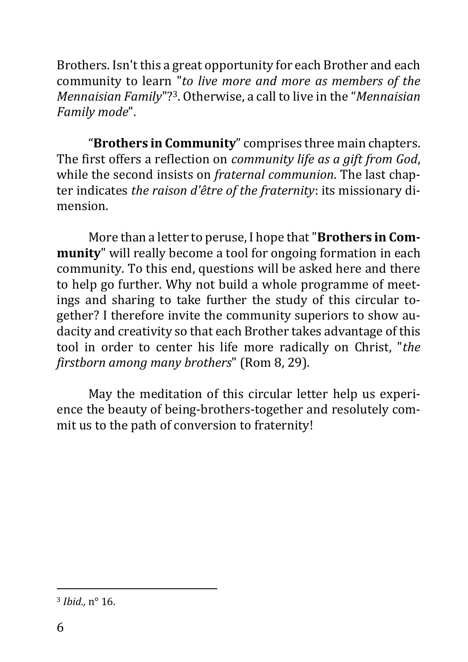Brothers. Isn't this a great opportunity for each Brother and each community to learn "*to live more and more as members of the Mennaisian Family*"? <sup>3</sup>. Otherwise, a call to live in the "*Mennaisian Family mode*".

"**Brothers in Community**" comprises three main chapters. The first offers a reflection on *community life as a gift from God*, while the second insists on *fraternal communion*. The last chapter indicates *the raison d'être of the fraternity*: its missionary dimension.

More than a letter to peruse, I hope that "**Brothers in Community**" will really become a tool for ongoing formation in each community. To this end, questions will be asked here and there to help go further. Why not build a whole programme of meetings and sharing to take further the study of this circular together? I therefore invite the community superiors to show audacity and creativity so that each Brother takes advantage of this tool in order to center his life more radically on Christ, "*the firstborn among many brothers*" (Rom 8, 29).

May the meditation of this circular letter help us experience the beauty of being-brothers-together and resolutely commit us to the path of conversion to fraternity!

<sup>3</sup> *Ibid.,* n° 16.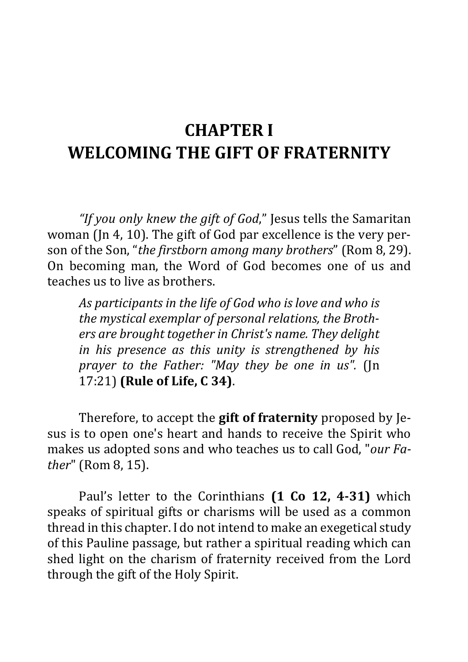# <span id="page-6-0"></span>**CHAPTER I WELCOMING THE GIFT OF FRATERNITY**

*"If you only knew the gift of God*," Jesus tells the Samaritan woman (Jn 4, 10). The gift of God par excellence is the very person of the Son, "*the firstborn among many brothers*" (Rom 8, 29). On becoming man, the Word of God becomes one of us and teaches us to live as brothers.

*As participants in the life of God who is love and who is the mystical exemplar of personal relations, the Brothers are brought together in Christ's name. They delight in his presence as this unity is strengthened by his prayer to the Father: "May they be one in us".* (Jn 17:21) **(Rule of Life, C 34)**.

Therefore, to accept the **gift of fraternity** proposed by Jesus is to open one's heart and hands to receive the Spirit who makes us adopted sons and who teaches us to call God, "*our Father*" (Rom 8, 15).

Paul's letter to the Corinthians **(1 Co 12, 4-31)** which speaks of spiritual gifts or charisms will be used as a common thread in this chapter. I do not intend to make an exegetical study of this Pauline passage, but rather a spiritual reading which can shed light on the charism of fraternity received from the Lord through the gift of the Holy Spirit.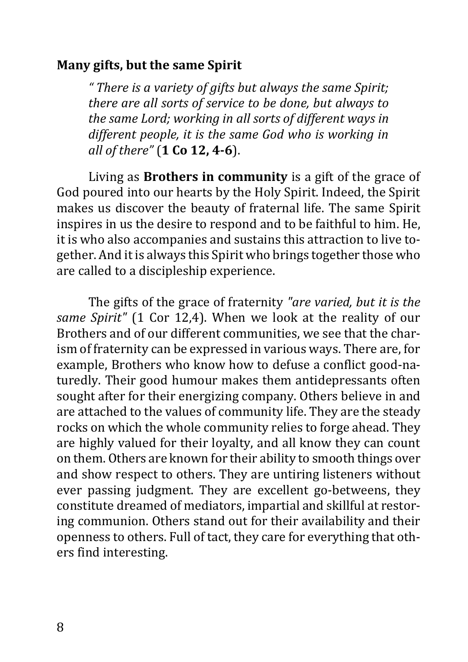### <span id="page-7-0"></span>**Many gifts, but the same Spirit**

*" There is a variety of gifts but always the same Spirit; there are all sorts of service to be done, but always to the same Lord; working in all sorts of different ways in different people, it is the same God who is working in all of there"* (**1 Co 12, 4-6**).

Living as **Brothers in community** is a gift of the grace of God poured into our hearts by the Holy Spirit. Indeed, the Spirit makes us discover the beauty of fraternal life. The same Spirit inspires in us the desire to respond and to be faithful to him. He, it is who also accompanies and sustains this attraction to live together. And it is always this Spirit who brings together those who are called to a discipleship experience.

The gifts of the grace of fraternity *"are varied, but it is the same Spirit"* (1 Cor 12,4). When we look at the reality of our Brothers and of our different communities, we see that the charism of fraternity can be expressed in various ways. There are, for example, Brothers who know how to defuse a conflict good-naturedly. Their good humour makes them antidepressants often sought after for their energizing company. Others believe in and are attached to the values of community life. They are the steady rocks on which the whole community relies to forge ahead. They are highly valued for their loyalty, and all know they can count on them. Others are known for their ability to smooth things over and show respect to others. They are untiring listeners without ever passing judgment. They are excellent go-betweens, they constitute dreamed of mediators, impartial and skillful at restoring communion. Others stand out for their availability and their openness to others. Full of tact, they care for everything that others find interesting.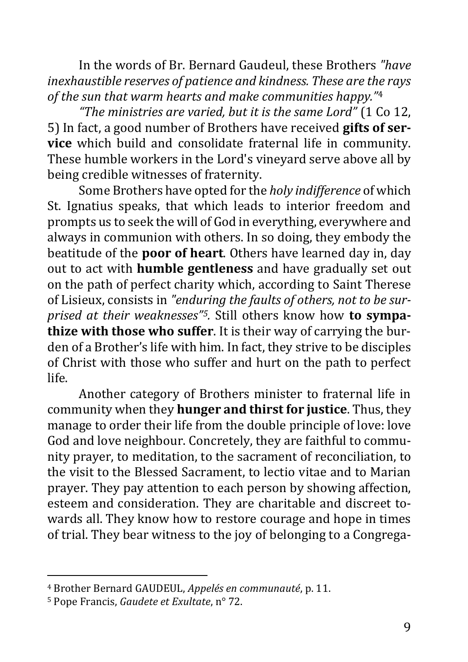In the words of Br. Bernard Gaudeul, these Brothers *"have inexhaustible reserves of patience and kindness. These are the rays of the sun that warm hearts and make communities happy."*<sup>4</sup>

*"The ministries are varied, but it is the same Lord"* (1 Co 12, 5) In fact, a good number of Brothers have received **gifts of service** which build and consolidate fraternal life in community. These humble workers in the Lord's vineyard serve above all by being credible witnesses of fraternity.

Some Brothers have opted for the *holy indifference* of which St. Ignatius speaks, that which leads to interior freedom and prompts us to seek the will of God in everything, everywhere and always in communion with others. In so doing, they embody the beatitude of the **poor of heart**. Others have learned day in, day out to act with **humble gentleness** and have gradually set out on the path of perfect charity which, according to Saint Therese of Lisieux, consists in *"enduring the faults of others, not to be surprised at their weaknesses"5.* Still others know how **to sympathize with those who suffer**. It is their way of carrying the burden of a Brother's life with him. In fact, they strive to be disciples of Christ with those who suffer and hurt on the path to perfect life.

Another category of Brothers minister to fraternal life in community when they **hunger and thirst for justice**. Thus, they manage to order their life from the double principle of love: love God and love neighbour. Concretely, they are faithful to community prayer, to meditation, to the sacrament of reconciliation, to the visit to the Blessed Sacrament, to lectio vitae and to Marian prayer. They pay attention to each person by showing affection, esteem and consideration. They are charitable and discreet towards all. They know how to restore courage and hope in times of trial. They bear witness to the joy of belonging to a Congrega-

<sup>4</sup> Brother Bernard GAUDEUL, *Appelés en communauté*, p. 11.

<sup>5</sup> Pope Francis, *Gaudete et Exultate*, n° 72.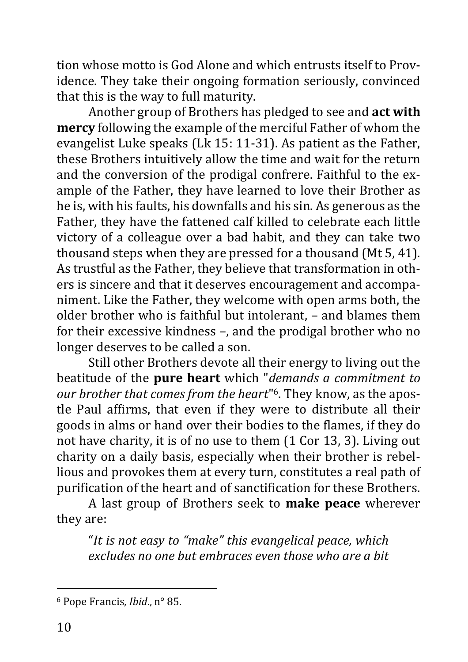tion whose motto is God Alone and which entrusts itself to Providence. They take their ongoing formation seriously, convinced that this is the way to full maturity.

Another group of Brothers has pledged to see and **act with mercy** following the example of the merciful Father of whom the evangelist Luke speaks (Lk 15: 11-31). As patient as the Father, these Brothers intuitively allow the time and wait for the return and the conversion of the prodigal confrere. Faithful to the example of the Father, they have learned to love their Brother as he is, with his faults, his downfalls and his sin. As generous as the Father, they have the fattened calf killed to celebrate each little victory of a colleague over a bad habit, and they can take two thousand steps when they are pressed for a thousand (Mt 5, 41). As trustful as the Father, they believe that transformation in others is sincere and that it deserves encouragement and accompaniment. Like the Father, they welcome with open arms both, the older brother who is faithful but intolerant, – and blames them for their excessive kindness –, and the prodigal brother who no longer deserves to be called a son.

Still other Brothers devote all their energy to living out the beatitude of the **pure heart** which "*demands a commitment to our brother that comes from the heart*" 6. They know, as the apostle Paul affirms, that even if they were to distribute all their goods in alms or hand over their bodies to the flames, if they do not have charity, it is of no use to them (1 Cor 13, 3). Living out charity on a daily basis, especially when their brother is rebellious and provokes them at every turn, constitutes a real path of purification of the heart and of sanctification for these Brothers.

A last group of Brothers seek to **make peace** wherever they are:

"*It is not easy to "make" this evangelical peace, which excludes no one but embraces even those who are a bit* 

<sup>6</sup> Pope Francis, *Ibid*., n° 85.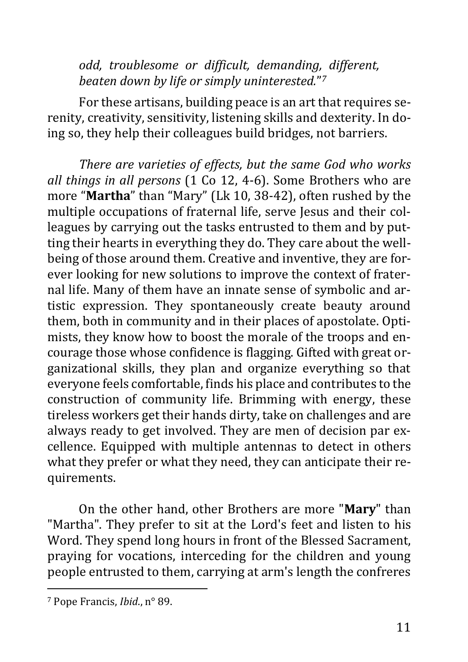*odd, troublesome or difficult, demanding, different, beaten down by life or simply uninterested.*" *7*

For these artisans, building peace is an art that requires serenity, creativity, sensitivity, listening skills and dexterity. In doing so, they help their colleagues build bridges, not barriers.

*There are varieties of effects, but the same God who works all things in all persons* (1 Co 12, 4-6). Some Brothers who are more "**Martha**" than "Mary" (Lk 10, 38-42), often rushed by the multiple occupations of fraternal life, serve Jesus and their colleagues by carrying out the tasks entrusted to them and by putting their hearts in everything they do. They care about the wellbeing of those around them. Creative and inventive, they are forever looking for new solutions to improve the context of fraternal life. Many of them have an innate sense of symbolic and artistic expression. They spontaneously create beauty around them, both in community and in their places of apostolate. Optimists, they know how to boost the morale of the troops and encourage those whose confidence is flagging. Gifted with great organizational skills, they plan and organize everything so that everyone feels comfortable, finds his place and contributes to the construction of community life. Brimming with energy, these tireless workers get their hands dirty, take on challenges and are always ready to get involved. They are men of decision par excellence. Equipped with multiple antennas to detect in others what they prefer or what they need, they can anticipate their requirements.

On the other hand, other Brothers are more "**Mary**" than "Martha". They prefer to sit at the Lord's feet and listen to his Word. They spend long hours in front of the Blessed Sacrament, praying for vocations, interceding for the children and young people entrusted to them, carrying at arm's length the confreres

<sup>7</sup> Pope Francis, *Ibid*., n° 89.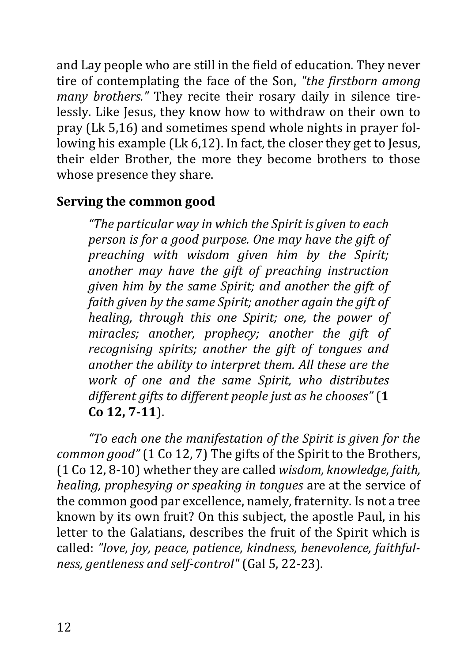and Lay people who are still in the field of education. They never tire of contemplating the face of the Son, *"the firstborn among many brothers."* They recite their rosary daily in silence tirelessly. Like Jesus, they know how to withdraw on their own to pray (Lk 5,16) and sometimes spend whole nights in prayer following his example (Lk 6,12). In fact, the closer they get to Jesus, their elder Brother, the more they become brothers to those whose presence they share.

## <span id="page-11-0"></span>**Serving the common good**

*"The particular way in which the Spirit is given to each person is for a good purpose. One may have the gift of preaching with wisdom given him by the Spirit; another may have the gift of preaching instruction given him by the same Spirit; and another the gift of faith given by the same Spirit; another again the gift of healing, through this one Spirit; one, the power of miracles; another, prophecy; another the gift of recognising spirits; another the gift of tongues and another the ability to interpret them. All these are the work of one and the same Spirit, who distributes different gifts to different people just as he chooses"* (**1 Co 12, 7-11**).

*"To each one the manifestation of the Spirit is given for the common good"* (1 Co 12, 7) The gifts of the Spirit to the Brothers, (1 Co 12, 8-10) whether they are called *wisdom, knowledge, faith, healing, prophesying or speaking in tongues* are at the service of the common good par excellence, namely, fraternity. Is not a tree known by its own fruit? On this subject, the apostle Paul, in his letter to the Galatians, describes the fruit of the Spirit which is called: *"love, joy, peace, patience, kindness, benevolence, faithfulness, gentleness and self-control"* (Gal 5, 22-23).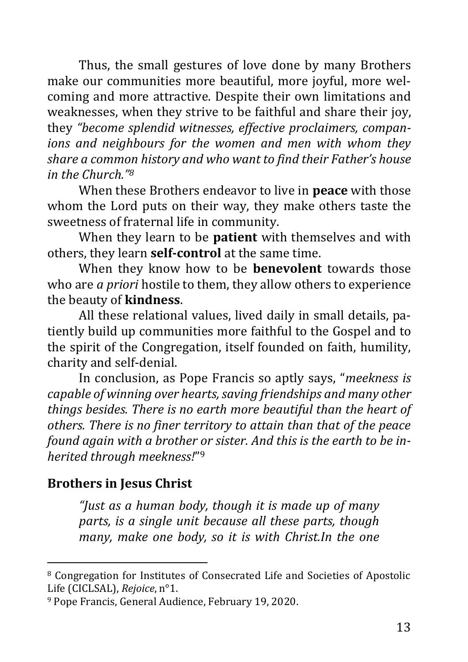Thus, the small gestures of love done by many Brothers make our communities more beautiful, more joyful, more welcoming and more attractive. Despite their own limitations and weaknesses, when they strive to be faithful and share their joy, they *"become splendid witnesses, effective proclaimers, companions and neighbours for the women and men with whom they share a common history and who want to find their Father's house in the Church."<sup>8</sup>*

When these Brothers endeavor to live in **peace** with those whom the Lord puts on their way, they make others taste the sweetness of fraternal life in community.

When they learn to be **patient** with themselves and with others, they learn **self-control** at the same time.

When they know how to be **benevolent** towards those who are *a priori* hostile to them, they allow others to experience the beauty of **kindness**.

All these relational values, lived daily in small details, patiently build up communities more faithful to the Gospel and to the spirit of the Congregation, itself founded on faith, humility, charity and self-denial.

In conclusion, as Pope Francis so aptly says, "*meekness is capable of winning over hearts, saving friendships and many other things besides. There is no earth more beautiful than the heart of others. There is no finer territory to attain than that of the peace found again with a brother or sister. And this is the earth to be inherited through meekness!*" 9

## <span id="page-12-0"></span>**Brothers in Jesus Christ**

*"Just as a human body, though it is made up of many parts, is a single unit because all these parts, though many, make one body, so it is with Christ.In the one* 

<sup>8</sup> Congregation for Institutes of Consecrated Life and Societies of Apostolic Life (CICLSAL), *Rejoice*, n°1.

<sup>9</sup> Pope Francis, General Audience, February 19, 2020.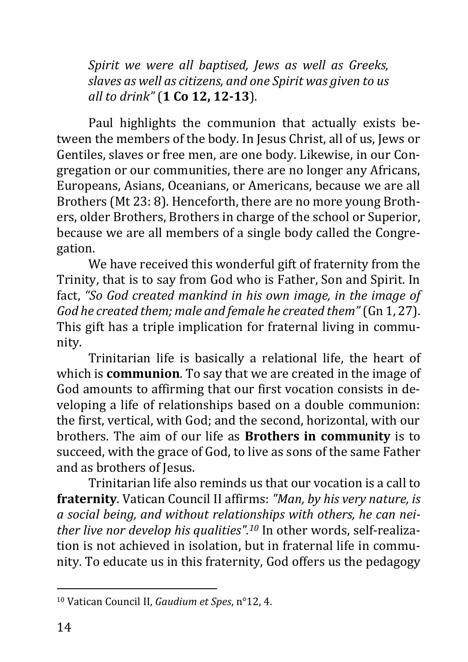*Spirit we were all baptised, Jews as well as Greeks, slaves as well as citizens, and one Spirit was given to us all to drink"* (**1 Co 12, 12-13**).

Paul highlights the communion that actually exists between the members of the body. In Jesus Christ, all of us, Jews or Gentiles, slaves or free men, are one body. Likewise, in our Congregation or our communities, there are no longer any Africans, Europeans, Asians, Oceanians, or Americans, because we are all Brothers (Mt 23: 8). Henceforth, there are no more young Brothers, older Brothers, Brothers in charge of the school or Superior, because we are all members of a single body called the Congregation.

We have received this wonderful gift of fraternity from the Trinity, that is to say from God who is Father, Son and Spirit. In fact, *"So God created mankind in his own image, in the image of God he created them; male and female he created them"* (Gn 1, 27). This gift has a triple implication for fraternal living in community.

Trinitarian life is basically a relational life, the heart of which is **communion**. To say that we are created in the image of God amounts to affirming that our first vocation consists in developing a life of relationships based on a double communion: the first, vertical, with God; and the second, horizontal, with our brothers. The aim of our life as **Brothers in community** is to succeed, with the grace of God, to live as sons of the same Father and as brothers of Jesus.

Trinitarian life also reminds us that our vocation is a call to **fraternity**. Vatican Council II affirms: *"Man, by his very nature, is a social being, and without relationships with others, he can neither live nor develop his qualities".<sup>10</sup>* In other words, self-realization is not achieved in isolation, but in fraternal life in community. To educate us in this fraternity, God offers us the pedagogy

<sup>10</sup> Vatican Council II, *Gaudium et Spes*, n°12, 4.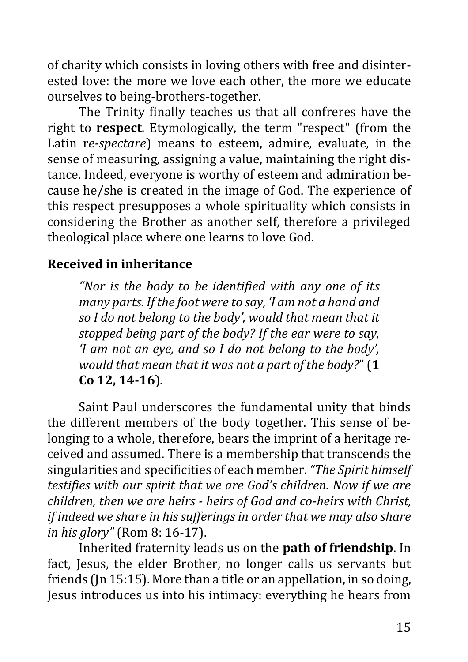of charity which consists in loving others with free and disinterested love: the more we love each other, the more we educate ourselves to being-brothers-together.

The Trinity finally teaches us that all confreres have the right to **respect**. Etymologically, the term "respect" (from the Latin r*e-spectare*) means to esteem, admire, evaluate, in the sense of measuring, assigning a value, maintaining the right distance. Indeed, everyone is worthy of esteem and admiration because he/she is created in the image of God. The experience of this respect presupposes a whole spirituality which consists in considering the Brother as another self, therefore a privileged theological place where one learns to love God.

## <span id="page-14-0"></span>**Received in inheritance**

*"Nor is the body to be identified with any one of its many parts. If the foot were to say, 'I am not a hand and so I do not belong to the body', would that mean that it stopped being part of the body? If the ear were to say, 'I am not an eye, and so I do not belong to the body', would that mean that it was not a part of the body?*" (**1 Co 12, 14-16**).

Saint Paul underscores the fundamental unity that binds the different members of the body together. This sense of belonging to a whole, therefore, bears the imprint of a heritage received and assumed. There is a membership that transcends the singularities and specificities of each member. *"The Spirit himself testifies with our spirit that we are God's children. Now if we are children, then we are heirs - heirs of God and co-heirs with Christ, if indeed we share in his sufferings in order that we may also share in his glory"* (Rom 8: 16-17).

Inherited fraternity leads us on the **path of friendship**. In fact, Jesus, the elder Brother, no longer calls us servants but friends (Jn 15:15). More than a title or an appellation, in so doing, Jesus introduces us into his intimacy: everything he hears from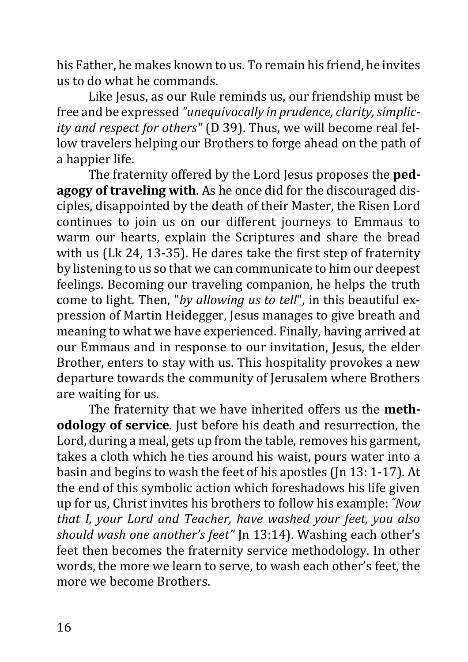his Father, he makes known to us. To remain his friend, he invites us to do what he commands.

Like Jesus, as our Rule reminds us, our friendship must be free and be expressed *"unequivocally in prudence, clarity, simplicity and respect for others"* (D 39). Thus, we will become real fellow travelers helping our Brothers to forge ahead on the path of a happier life.

The fraternity offered by the Lord Jesus proposes the **pedagogy of traveling with**. As he once did for the discouraged disciples, disappointed by the death of their Master, the Risen Lord continues to join us on our different journeys to Emmaus to warm our hearts, explain the Scriptures and share the bread with us (Lk 24, 13-35). He dares take the first step of fraternity by listening to us so that we can communicate to him our deepest feelings. Becoming our traveling companion, he helps the truth come to light. Then, "*by allowing us to tell*", in this beautiful expression of Martin Heidegger, Jesus manages to give breath and meaning to what we have experienced. Finally, having arrived at our Emmaus and in response to our invitation, Jesus, the elder Brother, enters to stay with us. This hospitality provokes a new departure towards the community of Jerusalem where Brothers are waiting for us.

The fraternity that we have inherited offers us the **methodology of service**. Just before his death and resurrection, the Lord, during a meal, gets up from the table, removes his garment, takes a cloth which he ties around his waist, pours water into a basin and begins to wash the feet of his apostles (Jn 13: 1-17). At the end of this symbolic action which foreshadows his life given up for us, Christ invites his brothers to follow his example: *"Now that I, your Lord and Teacher, have washed your feet, you also should wash one another's feet"* Jn 13:14). Washing each other's feet then becomes the fraternity service methodology. In other words, the more we learn to serve, to wash each other's feet, the more we become Brothers.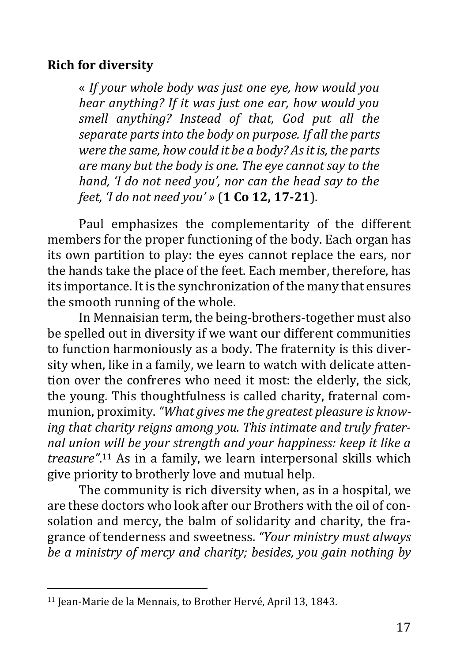## <span id="page-16-0"></span>**Rich for diversity**

« *If your whole body was just one eye, how would you hear anything? If it was just one ear, how would you smell anything? Instead of that, God put all the separate parts into the body on purpose. If all the parts were the same, how could it be a body? As it is, the parts are many but the body is one. The eye cannot say to the hand, 'I do not need you', nor can the head say to the feet, 'I do not need you' »* (**1 Co 12, 17-21**).

Paul emphasizes the complementarity of the different members for the proper functioning of the body. Each organ has its own partition to play: the eyes cannot replace the ears, nor the hands take the place of the feet. Each member, therefore, has its importance. It is the synchronization of the many that ensures the smooth running of the whole.

In Mennaisian term, the being-brothers-together must also be spelled out in diversity if we want our different communities to function harmoniously as a body. The fraternity is this diversity when, like in a family, we learn to watch with delicate attention over the confreres who need it most: the elderly, the sick, the young. This thoughtfulness is called charity, fraternal communion, proximity. *"What gives me the greatest pleasure is knowing that charity reigns among you. This intimate and truly fraternal union will be your strength and your happiness: keep it like a treasure"*. <sup>11</sup> As in a family, we learn interpersonal skills which give priority to brotherly love and mutual help.

The community is rich diversity when, as in a hospital, we are these doctors who look after our Brothers with the oil of consolation and mercy, the balm of solidarity and charity, the fragrance of tenderness and sweetness. *"Your ministry must always be a ministry of mercy and charity; besides, you gain nothing by* 

<sup>&</sup>lt;sup>11</sup> Jean-Marie de la Mennais, to Brother Hervé, April 13, 1843.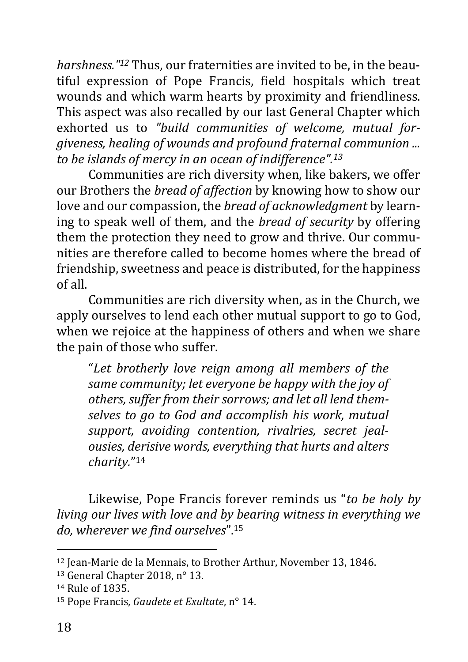*harshness."<sup>12</sup>* Thus, our fraternities are invited to be, in the beautiful expression of Pope Francis, field hospitals which treat wounds and which warm hearts by proximity and friendliness. This aspect was also recalled by our last General Chapter which exhorted us to *"build communities of welcome, mutual forgiveness, healing of wounds and profound fraternal communion ... to be islands of mercy in an ocean of indifference".<sup>13</sup>*

Communities are rich diversity when, like bakers, we offer our Brothers the *bread of affection* by knowing how to show our love and our compassion, the *bread of acknowledgment* by learning to speak well of them, and the *bread of security* by offering them the protection they need to grow and thrive. Our communities are therefore called to become homes where the bread of friendship, sweetness and peace is distributed, for the happiness of all.

Communities are rich diversity when, as in the Church, we apply ourselves to lend each other mutual support to go to God, when we rejoice at the happiness of others and when we share the pain of those who suffer.

"*Let brotherly love reign among all members of the same community; let everyone be happy with the joy of others, suffer from their sorrows; and let all lend themselves to go to God and accomplish his work, mutual support, avoiding contention, rivalries, secret jealousies, derisive words, everything that hurts and alters charity.*" 14

Likewise, Pope Francis forever reminds us "*to be holy by living our lives with love and by bearing witness in everything we do, wherever we find ourselves*".<sup>15</sup>

<sup>&</sup>lt;sup>12</sup> Jean-Marie de la Mennais, to Brother Arthur, November 13, 1846.

<sup>13</sup> General Chapter 2018, n° 13.

<sup>14</sup> Rule of 1835.

<sup>15</sup> Pope Francis, *Gaudete et Exultate*, n° 14.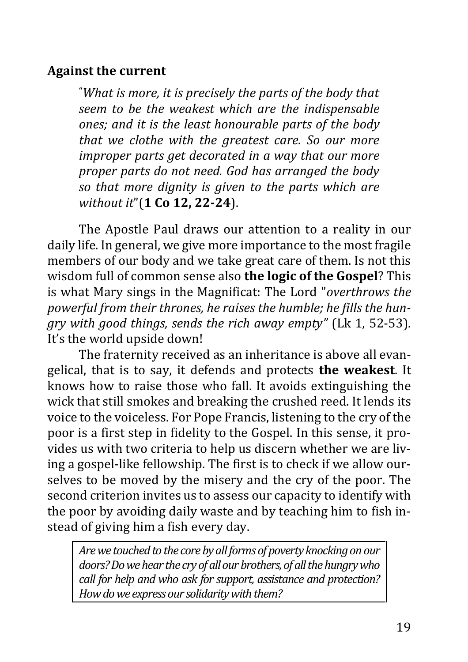## <span id="page-18-0"></span>**Against the current**

**"***What is more, it is precisely the parts of the body that seem to be the weakest which are the indispensable ones; and it is the least honourable parts of the body that we clothe with the greatest care. So our more improper parts get decorated in a way that our more proper parts do not need. God has arranged the body so that more dignity is given to the parts which are without it*"(**1 Co 12, 22-24**).

The Apostle Paul draws our attention to a reality in our daily life. In general, we give more importance to the most fragile members of our body and we take great care of them. Is not this wisdom full of common sense also **the logic of the Gospel**? This is what Mary sings in the Magnificat: The Lord "*overthrows the powerful from their thrones, he raises the humble; he fills the hungry with good things, sends the rich away empty"* (Lk 1, 52-53). It's the world upside down!

The fraternity received as an inheritance is above all evangelical, that is to say, it defends and protects **the weakest**. It knows how to raise those who fall. It avoids extinguishing the wick that still smokes and breaking the crushed reed. It lends its voice to the voiceless. For Pope Francis, listening to the cry of the poor is a first step in fidelity to the Gospel. In this sense, it provides us with two criteria to help us discern whether we are living a gospel-like fellowship. The first is to check if we allow ourselves to be moved by the misery and the cry of the poor. The second criterion invites us to assess our capacity to identify with the poor by avoiding daily waste and by teaching him to fish instead of giving him a fish every day.

*Are we touched to the core by all forms of poverty knocking on our doors? Do we hear the cry of all our brothers, of all the hungry who call for help and who ask for support, assistance and protection? How do we express our solidarity with them?*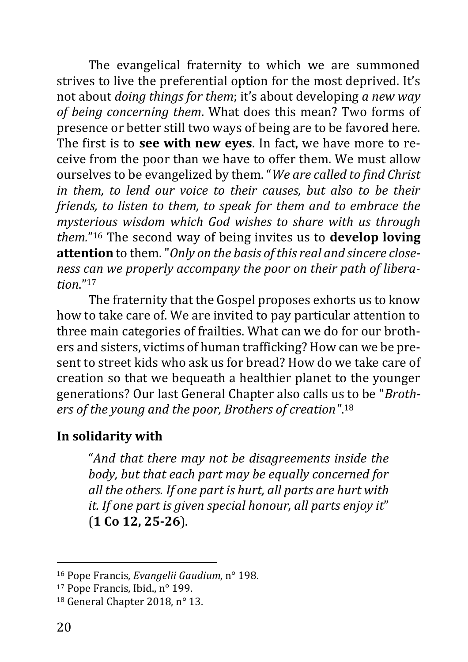The evangelical fraternity to which we are summoned strives to live the preferential option for the most deprived. It's not about *doing things for them*; it's about developing *a new way of being concerning them*. What does this mean? Two forms of presence or better still two ways of being are to be favored here. The first is to **see with new eyes**. In fact, we have more to receive from the poor than we have to offer them. We must allow ourselves to be evangelized by them. "*We are called to find Christ in them, to lend our voice to their causes, but also to be their friends, to listen to them, to speak for them and to embrace the mysterious wisdom which God wishes to share with us through them.*" <sup>16</sup> The second way of being invites us to **develop loving attention** to them. "*Only on the basis of this real and sincere closeness can we properly accompany the poor on their path of liberation*."<sup>17</sup>

The fraternity that the Gospel proposes exhorts us to know how to take care of. We are invited to pay particular attention to three main categories of frailties. What can we do for our brothers and sisters, victims of human trafficking? How can we be present to street kids who ask us for bread? How do we take care of creation so that we bequeath a healthier planet to the younger generations? Our last General Chapter also calls us to be "*Brothers of the young and the poor, Brothers of creation"*. 18

## <span id="page-19-0"></span>**In solidarity with**

"*And that there may not be disagreements inside the body, but that each part may be equally concerned for all the others. If one part is hurt, all parts are hurt with it. If one part is given special honour, all parts enjoy it*" (**1 Co 12, 25-26**).

<sup>16</sup> Pope Francis, *Evangelii Gaudium,* n° 198.

<sup>17</sup> Pope Francis, Ibid., n° 199.

<sup>18</sup> General Chapter 2018, n° 13.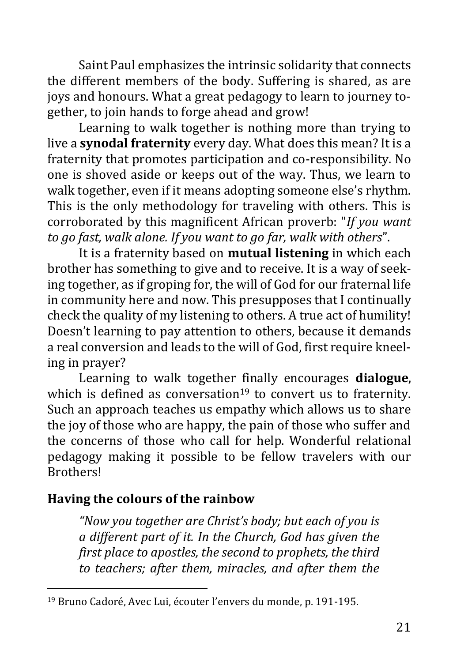Saint Paul emphasizes the intrinsic solidarity that connects the different members of the body. Suffering is shared, as are joys and honours. What a great pedagogy to learn to journey together, to join hands to forge ahead and grow!

Learning to walk together is nothing more than trying to live a **synodal fraternity** every day. What does this mean? It is a fraternity that promotes participation and co-responsibility. No one is shoved aside or keeps out of the way. Thus, we learn to walk together, even if it means adopting someone else's rhythm. This is the only methodology for traveling with others. This is corroborated by this magnificent African proverb: "*If you want to go fast, walk alone. If you want to go far, walk with others*".

It is a fraternity based on **mutual listening** in which each brother has something to give and to receive. It is a way of seeking together, as if groping for, the will of God for our fraternal life in community here and now. This presupposes that I continually check the quality of my listening to others. A true act of humility! Doesn't learning to pay attention to others, because it demands a real conversion and leads to the will of God, first require kneeling in prayer?

Learning to walk together finally encourages **dialogue**, which is defined as conversation<sup>19</sup> to convert us to fraternity. Such an approach teaches us empathy which allows us to share the joy of those who are happy, the pain of those who suffer and the concerns of those who call for help. Wonderful relational pedagogy making it possible to be fellow travelers with our Brothers!

## <span id="page-20-0"></span>**Having the colours of the rainbow**

*"Now you together are Christ's body; but each of you is a different part of it. In the Church, God has given the first place to apostles, the second to prophets, the third to teachers; after them, miracles, and after them the* 

<sup>19</sup> Bruno Cadoré, Avec Lui, écouter l'envers du monde, p. 191-195.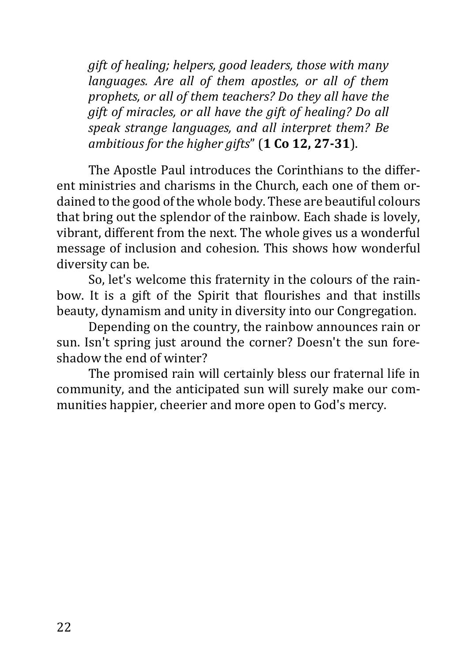*gift of healing; helpers, good leaders, those with many languages. Are all of them apostles, or all of them prophets, or all of them teachers? Do they all have the gift of miracles, or all have the gift of healing? Do all speak strange languages, and all interpret them? Be ambitious for the higher gifts*" (**1 Co 12, 27-31**).

The Apostle Paul introduces the Corinthians to the different ministries and charisms in the Church, each one of them ordained to the good of the whole body. These are beautiful colours that bring out the splendor of the rainbow. Each shade is lovely, vibrant, different from the next. The whole gives us a wonderful message of inclusion and cohesion. This shows how wonderful diversity can be.

So, let's welcome this fraternity in the colours of the rainbow. It is a gift of the Spirit that flourishes and that instills beauty, dynamism and unity in diversity into our Congregation.

Depending on the country, the rainbow announces rain or sun. Isn't spring just around the corner? Doesn't the sun foreshadow the end of winter?

The promised rain will certainly bless our fraternal life in community, and the anticipated sun will surely make our communities happier, cheerier and more open to God's mercy.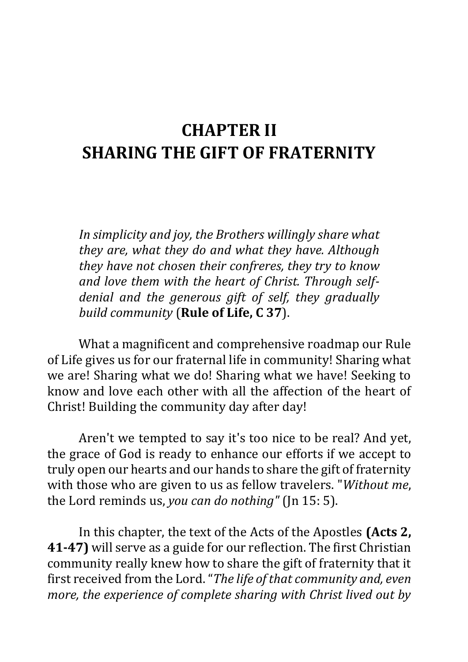# <span id="page-22-0"></span>**CHAPTER II SHARING THE GIFT OF FRATERNITY**

*In simplicity and joy, the Brothers willingly share what they are, what they do and what they have. Although they have not chosen their confreres, they try to know and love them with the heart of Christ. Through selfdenial and the generous gift of self, they gradually build community* (**Rule of Life, C 37**).

What a magnificent and comprehensive roadmap our Rule of Life gives us for our fraternal life in community! Sharing what we are! Sharing what we do! Sharing what we have! Seeking to know and love each other with all the affection of the heart of Christ! Building the community day after day!

Aren't we tempted to say it's too nice to be real? And yet, the grace of God is ready to enhance our efforts if we accept to truly open our hearts and our hands to share the gift of fraternity with those who are given to us as fellow travelers. "*Without me*, the Lord reminds us, *you can do nothing"* (Jn 15: 5).

In this chapter, the text of the Acts of the Apostles **(Acts 2, 41-47)** will serve as a guide for our reflection. The first Christian community really knew how to share the gift of fraternity that it first received from the Lord."*The life of that community and, even more, the experience of complete sharing with Christ lived out by*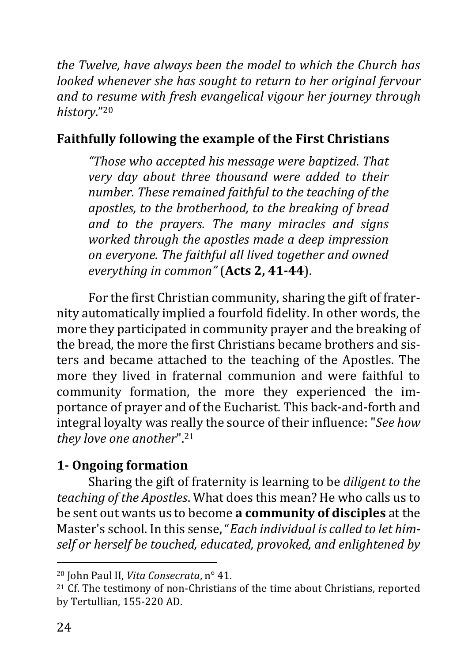*the Twelve, have always been the model to which the Church has looked whenever she has sought to return to her original fervour and to resume with fresh evangelical vigour her journey through history*."<sup>20</sup>

## <span id="page-23-0"></span>**Faithfully following the example of the First Christians**

*"Those who accepted his message were baptized. That very day about three thousand were added to their number. These remained faithful to the teaching of the apostles, to the brotherhood, to the breaking of bread and to the prayers. The many miracles and signs worked through the apostles made a deep impression on everyone. The faithful all lived together and owned everything in common"* (**Acts 2, 41-44**).

For the first Christian community, sharing the gift of fraternity automatically implied a fourfold fidelity. In other words, the more they participated in community prayer and the breaking of the bread, the more the first Christians became brothers and sisters and became attached to the teaching of the Apostles. The more they lived in fraternal communion and were faithful to community formation, the more they experienced the importance of prayer and of the Eucharist. This back-and-forth and integral loyalty was really the source of their influence: "*See how they love one another*".<sup>21</sup>

## <span id="page-23-1"></span>**1- Ongoing formation**

Sharing the gift of fraternity is learning to be *diligent to the teaching of the Apostles*. What does this mean? He who calls us to be sent out wants us to become **a community of disciples** at the Master's school. In this sense, "*Each individual is called to let himself or herself be touched, educated, provoked, and enlightened by* 

<sup>20</sup> John Paul II, *Vita Consecrata*, n° 41.

 $21$  Cf. The testimony of non-Christians of the time about Christians, reported by Tertullian, 155-220 AD.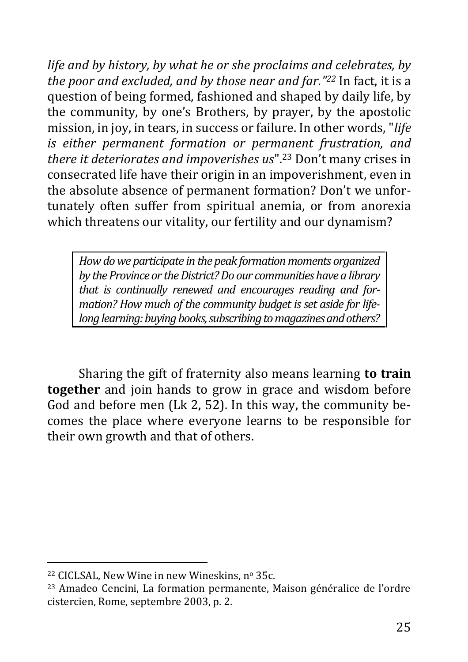*life and by history, by what he or she proclaims and celebrates, by the poor and excluded, and by those near and far."<sup>22</sup>* In fact, it is a question of being formed, fashioned and shaped by daily life, by the community, by one's Brothers, by prayer, by the apostolic mission, in joy, in tears, in success or failure. In other words, "*life is either permanent formation or permanent frustration, and there it deteriorates and impoverishes us*".<sup>23</sup> Don't many crises in consecrated life have their origin in an impoverishment, even in the absolute absence of permanent formation? Don't we unfortunately often suffer from spiritual anemia, or from anorexia which threatens our vitality, our fertility and our dynamism?

*How do we participate in the peak formation moments organized by the Province or the District? Do our communities have a library that is continually renewed and encourages reading and formation? How much of the community budget is set aside for lifelong learning: buying books, subscribing to magazines and others?*

Sharing the gift of fraternity also means learning **to train together** and join hands to grow in grace and wisdom before God and before men (Lk 2, 52). In this way, the community becomes the place where everyone learns to be responsible for their own growth and that of others.

<sup>&</sup>lt;sup>22</sup> CICLSAL, New Wine in new Wineskins, nº 35c.

<sup>23</sup> Amadeo Cencini, La formation permanente, Maison généralice de l'ordre cistercien, Rome, septembre 2003, p. 2.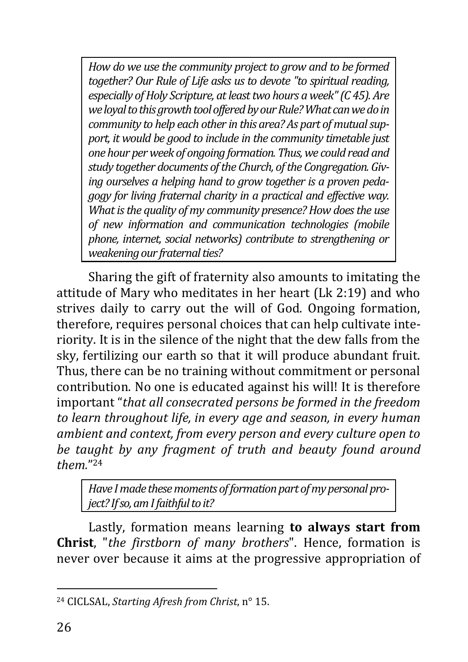*How do we use the community project to grow and to be formed together? Our Rule of Life asks us to devote "to spiritual reading, especially of Holy Scripture, at least two hours a week" (C 45). Are we loyal to this growth tool offeredby our Rule? What can we do in community to help each other in this area? As part of mutual support, it would be good to include in the community timetable just one hour per week of ongoing formation. Thus, we could read and study together documents of the Church, of the Congregation. Giving ourselves a helping hand to grow together is a proven pedagogy for living fraternal charity in a practical and effective way. What is the quality of my community presence? How does the use of new information and communication technologies (mobile phone, internet, social networks) contribute to strengthening or weakening our fraternal ties?*

Sharing the gift of fraternity also amounts to imitating the attitude of Mary who meditates in her heart (Lk 2:19) and who strives daily to carry out the will of God. Ongoing formation, therefore, requires personal choices that can help cultivate interiority. It is in the silence of the night that the dew falls from the sky, fertilizing our earth so that it will produce abundant fruit. Thus, there can be no training without commitment or personal contribution. No one is educated against his will! It is therefore important "*that all consecrated persons be formed in the freedom to learn throughout life, in every age and season, in every human ambient and context, from every person and every culture open to be taught by any fragment of truth and beauty found around them.*" 24

*Have I made these moments of formation part of my personal project? If so, am I faithful to it?*

Lastly, formation means learning **to always start from Christ**, "*the firstborn of many brothers*". Hence, formation is never over because it aims at the progressive appropriation of

<sup>24</sup> CICLSAL, *Starting Afresh from Christ*, n° 15.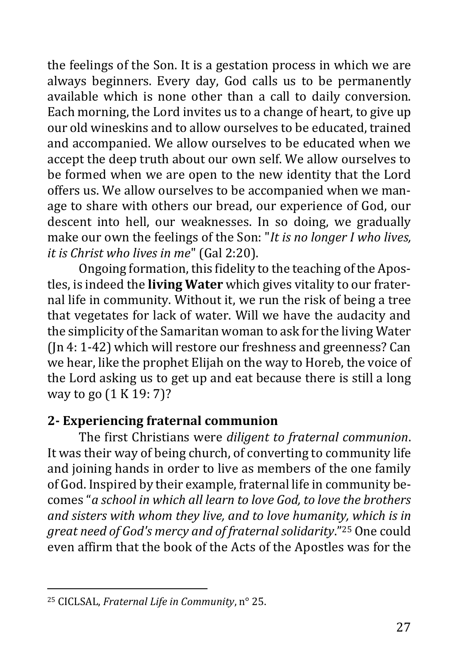the feelings of the Son. It is a gestation process in which we are always beginners. Every day, God calls us to be permanently available which is none other than a call to daily conversion. Each morning, the Lord invites us to a change of heart, to give up our old wineskins and to allow ourselves to be educated, trained and accompanied. We allow ourselves to be educated when we accept the deep truth about our own self. We allow ourselves to be formed when we are open to the new identity that the Lord offers us. We allow ourselves to be accompanied when we manage to share with others our bread, our experience of God, our descent into hell, our weaknesses. In so doing, we gradually make our own the feelings of the Son: "*It is no longer I who lives, it is Christ who lives in me*" (Gal 2:20).

Ongoing formation, this fidelity to the teaching of the Apostles, is indeed the **living Water** which gives vitality to our fraternal life in community. Without it, we run the risk of being a tree that vegetates for lack of water. Will we have the audacity and the simplicity of the Samaritan woman to ask for the living Water (Jn 4: 1-42) which will restore our freshness and greenness? Can we hear, like the prophet Elijah on the way to Horeb, the voice of the Lord asking us to get up and eat because there is still a long way to go (1 K 19: 7)?

## <span id="page-26-0"></span>**2- Experiencing fraternal communion**

The first Christians were *diligent to fraternal communion*. It was their way of being church, of converting to community life and joining hands in order to live as members of the one family of God. Inspired by their example, fraternal life in community becomes "*a school in which all learn to love God, to love the brothers and sisters with whom they live, and to love humanity, which is in great need of God's mercy and of fraternal solidarity*."<sup>25</sup> One could even affirm that the book of the Acts of the Apostles was for the

<sup>25</sup> CICLSAL, *Fraternal Life in Community*, n° 25.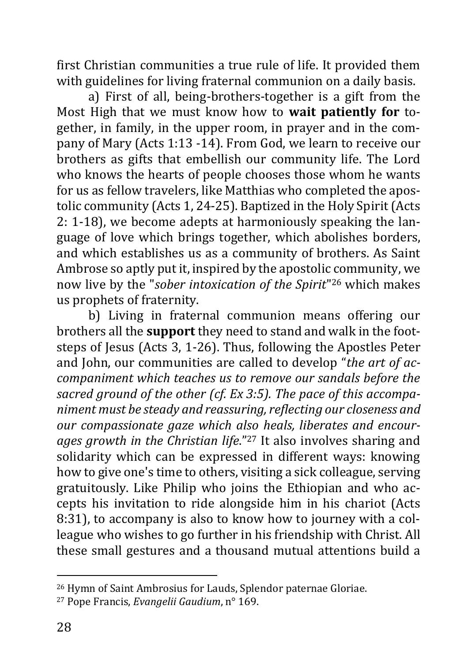first Christian communities a true rule of life. It provided them with guidelines for living fraternal communion on a daily basis.

a) First of all, being-brothers-together is a gift from the Most High that we must know how to **wait patiently for** together, in family, in the upper room, in prayer and in the company of Mary (Acts 1:13 -14). From God, we learn to receive our brothers as gifts that embellish our community life. The Lord who knows the hearts of people chooses those whom he wants for us as fellow travelers, like Matthias who completed the apostolic community (Acts 1, 24-25). Baptized in the Holy Spirit (Acts 2: 1-18), we become adepts at harmoniously speaking the language of love which brings together, which abolishes borders, and which establishes us as a community of brothers. As Saint Ambrose so aptly put it, inspired by the apostolic community, we now live by the "*sober intoxication of the Spirit*" <sup>26</sup> which makes us prophets of fraternity.

b) Living in fraternal communion means offering our brothers all the **support** they need to stand and walk in the footsteps of Jesus (Acts 3, 1-26). Thus, following the Apostles Peter and John, our communities are called to develop "*the art of accompaniment which teaches us to remove our sandals before the sacred ground of the other (cf. Ex 3:5). The pace of this accompaniment must be steady and reassuring, reflecting our closeness and our compassionate gaze which also heals, liberates and encourages growth in the Christian life*."<sup>27</sup> It also involves sharing and solidarity which can be expressed in different ways: knowing how to give one's time to others, visiting a sick colleague, serving gratuitously. Like Philip who joins the Ethiopian and who accepts his invitation to ride alongside him in his chariot (Acts 8:31), to accompany is also to know how to journey with a colleague who wishes to go further in his friendship with Christ. All these small gestures and a thousand mutual attentions build a

<sup>26</sup> Hymn of Saint Ambrosius for Lauds, Splendor paternae Gloriae.

<sup>27</sup> Pope Francis, *Evangelii Gaudium*, n° 169.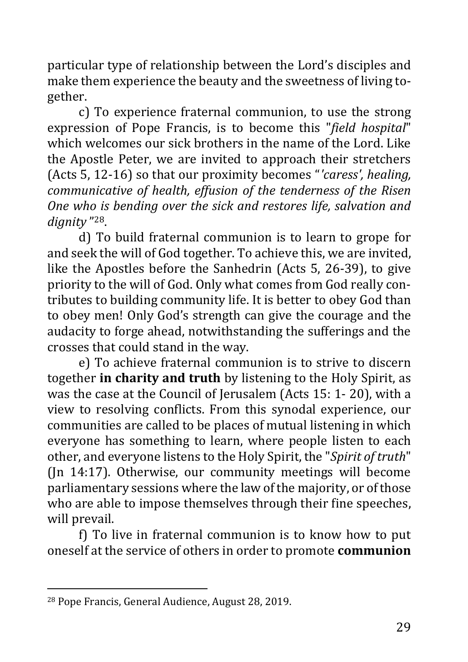particular type of relationship between the Lord's disciples and make them experience the beauty and the sweetness of living together.

c) To experience fraternal communion, to use the strong expression of Pope Francis, is to become this "*field hospital*" which welcomes our sick brothers in the name of the Lord. Like the Apostle Peter, we are invited to approach their stretchers (Acts 5, 12-16) so that our proximity becomes "*'caress', healing, communicative of health, effusion of the tenderness of the Risen One who is bending over the sick and restores life, salvation and dignity* " 28.

d) To build fraternal communion is to learn to grope for and seek the will of God together. To achieve this, we are invited, like the Apostles before the Sanhedrin (Acts 5, 26-39), to give priority to the will of God. Only what comes from God really contributes to building community life. It is better to obey God than to obey men! Only God's strength can give the courage and the audacity to forge ahead, notwithstanding the sufferings and the crosses that could stand in the way.

e) To achieve fraternal communion is to strive to discern together **in charity and truth** by listening to the Holy Spirit, as was the case at the Council of Jerusalem (Acts 15: 1- 20), with a view to resolving conflicts. From this synodal experience, our communities are called to be places of mutual listening in which everyone has something to learn, where people listen to each other, and everyone listens to the Holy Spirit, the "*Spirit of truth*" (Jn 14:17). Otherwise, our community meetings will become parliamentary sessions where the law of the majority, or of those who are able to impose themselves through their fine speeches, will prevail.

f) To live in fraternal communion is to know how to put oneself at the service of others in order to promote **communion** 

<sup>28</sup> Pope Francis, General Audience, August 28, 2019.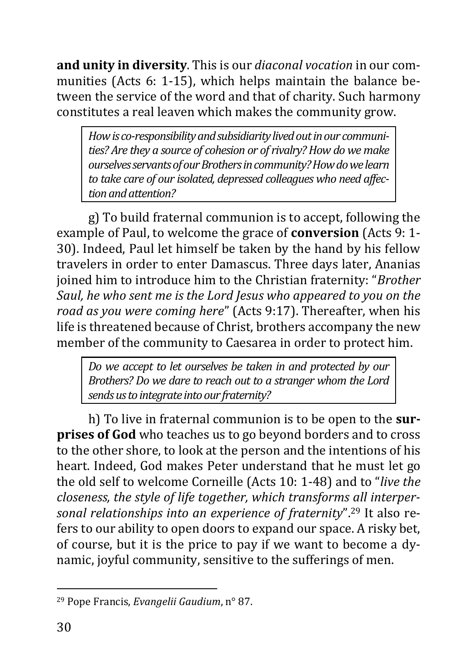**and unity in diversity**. This is our *diaconal vocation* in our communities (Acts 6: 1-15), which helps maintain the balance between the service of the word and that of charity. Such harmony constitutes a real leaven which makes the community grow.

*How isco-responsibility and subsidiarity lived out in our communities? Are they a source of cohesion or of rivalry? How do we make ourselves servants of our Brothers in community? How do we learn to take care of our isolated, depressed colleagues who need affection and attention?*

g) To build fraternal communion is to accept, following the example of Paul, to welcome the grace of **conversion** (Acts 9: 1- 30). Indeed, Paul let himself be taken by the hand by his fellow travelers in order to enter Damascus. Three days later, Ananias joined him to introduce him to the Christian fraternity: "*Brother Saul, he who sent me is the Lord Jesus who appeared to you on the road as you were coming here*" (Acts 9:17). Thereafter, when his life is threatened because of Christ, brothers accompany the new member of the community to Caesarea in order to protect him.

*Do we accept to let ourselves be taken in and protected by our Brothers? Do we dare to reach out to a stranger whom the Lord sends us to integrate into our fraternity?*

h) To live in fraternal communion is to be open to the **surprises of God** who teaches us to go beyond borders and to cross to the other shore, to look at the person and the intentions of his heart. Indeed, God makes Peter understand that he must let go the old self to welcome Corneille (Acts 10: 1-48) and to "*live the closeness, the style of life together, which transforms all interpersonal relationships into an experience of fraternity*".<sup>29</sup> It also refers to our ability to open doors to expand our space. A risky bet, of course, but it is the price to pay if we want to become a dynamic, joyful community, sensitive to the sufferings of men.

<sup>29</sup> Pope Francis, *Evangelii Gaudium*, n° 87.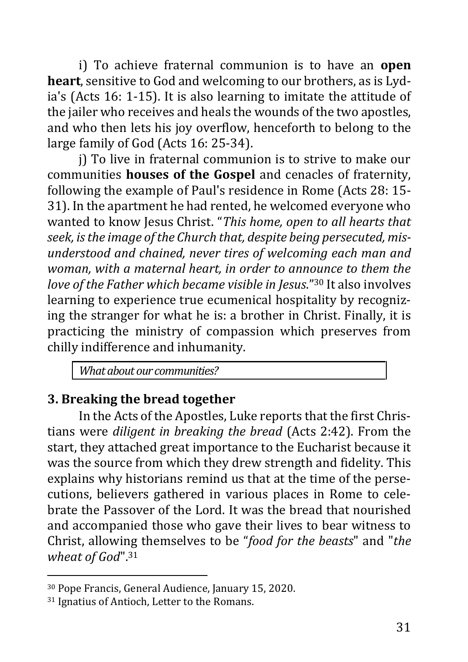i) To achieve fraternal communion is to have an **open heart**, sensitive to God and welcoming to our brothers, as is Lydia's (Acts 16: 1-15). It is also learning to imitate the attitude of the jailer who receives and heals the wounds of the two apostles, and who then lets his joy overflow, henceforth to belong to the large family of God (Acts 16: 25-34).

j) To live in fraternal communion is to strive to make our communities **houses of the Gospel** and cenacles of fraternity, following the example of Paul's residence in Rome (Acts 28: 15- 31). In the apartment he had rented, he welcomed everyone who wanted to know Jesus Christ. "*This home, open to all hearts that seek, is the image of the Church that, despite being persecuted, misunderstood and chained, never tires of welcoming each man and woman, with a maternal heart, in order to announce to them the love of the Father which became visible in Jesus*."<sup>30</sup> It also involves learning to experience true ecumenical hospitality by recognizing the stranger for what he is: a brother in Christ. Finally, it is practicing the ministry of compassion which preserves from chilly indifference and inhumanity.

*What about our communities?*

## <span id="page-30-0"></span>**3. Breaking the bread together**

In the Acts of the Apostles, Luke reports that the first Christians were *diligent in breaking the bread* (Acts 2:42). From the start, they attached great importance to the Eucharist because it was the source from which they drew strength and fidelity. This explains why historians remind us that at the time of the persecutions, believers gathered in various places in Rome to celebrate the Passover of the Lord. It was the bread that nourished and accompanied those who gave their lives to bear witness to Christ, allowing themselves to be "*food for the beasts*" and "*the wheat of God*".<sup>31</sup>

<sup>30</sup> Pope Francis, General Audience, January 15, 2020.

<sup>31</sup> Ignatius of Antioch, Letter to the Romans.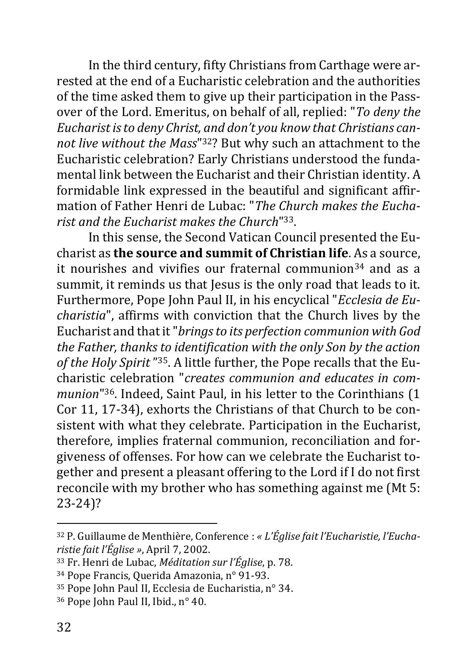In the third century, fifty Christians from Carthage were arrested at the end of a Eucharistic celebration and the authorities of the time asked them to give up their participation in the Passover of the Lord. Emeritus, on behalf of all, replied: "*To deny the Eucharist is to deny Christ, and don't you know that Christians cannot live without the Mass*" <sup>32</sup>? But why such an attachment to the Eucharistic celebration? Early Christians understood the fundamental link between the Eucharist and their Christian identity. A formidable link expressed in the beautiful and significant affirmation of Father Henri de Lubac: "*The Church makes the Eucharist and the Eucharist makes the Church*" 33.

In this sense, the Second Vatican Council presented the Eucharist as **the source and summit of Christian life**. As a source, it nourishes and vivifies our fraternal communion<sup>34</sup> and as a summit, it reminds us that Jesus is the only road that leads to it. Furthermore, Pope John Paul II, in his encyclical "*Ecclesia de Eucharistia*", affirms with conviction that the Church lives by the Eucharist and that it "*brings to its perfection communion with God the Father, thanks to identification with the only Son by the action of the Holy Spirit* " 35. A little further, the Pope recalls that the Eucharistic celebration "*creates communion and educates in communion*" <sup>36</sup>. Indeed, Saint Paul, in his letter to the Corinthians (1 Cor 11, 17-34), exhorts the Christians of that Church to be consistent with what they celebrate. Participation in the Eucharist, therefore, implies fraternal communion, reconciliation and forgiveness of offenses. For how can we celebrate the Eucharist together and present a pleasant offering to the Lord if I do not first reconcile with my brother who has something against me (Mt 5: 23-24)?

<sup>32</sup> P. Guillaume de Menthière, Conference : *« L'Église fait l'Eucharistie, l'Eucharistie fait l'Église »*, April 7, 2002.

<sup>33</sup> Fr. Henri de Lubac, *Méditation sur l'Église*, p. 78.

<sup>34</sup> Pope Francis, Querida Amazonia, n° 91-93.

<sup>35</sup> Pope John Paul II, Ecclesia de Eucharistia, n° 34.

<sup>36</sup> Pope John Paul II, Ibid., n° 40.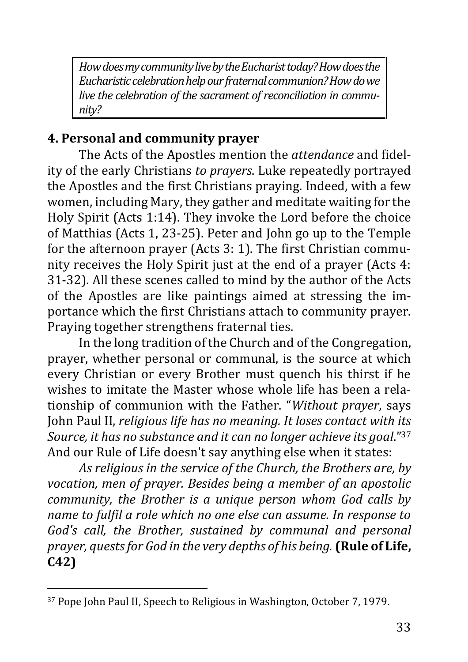*How does my community live by the Eucharist today? How does the Eucharistic celebration help our fraternal communion? How do we live the celebration of the sacrament of reconciliation in community?*

## <span id="page-32-0"></span>**4. Personal and community prayer**

The Acts of the Apostles mention the *attendance* and fidelity of the early Christians *to prayers*. Luke repeatedly portrayed the Apostles and the first Christians praying. Indeed, with a few women, including Mary, they gather and meditate waiting for the Holy Spirit (Acts 1:14). They invoke the Lord before the choice of Matthias (Acts 1, 23-25). Peter and John go up to the Temple for the afternoon prayer (Acts 3: 1). The first Christian community receives the Holy Spirit just at the end of a prayer (Acts 4: 31-32). All these scenes called to mind by the author of the Acts of the Apostles are like paintings aimed at stressing the importance which the first Christians attach to community prayer. Praying together strengthens fraternal ties.

In the long tradition of the Church and of the Congregation, prayer, whether personal or communal, is the source at which every Christian or every Brother must quench his thirst if he wishes to imitate the Master whose whole life has been a relationship of communion with the Father. "*Without prayer*, says John Paul II, *religious life has no meaning. It loses contact with its Source, it has no substance and it can no longer achieve its goal*." 37 And our Rule of Life doesn't say anything else when it states:

*As religious in the service of the Church, the Brothers are, by vocation, men of prayer. Besides being a member of an apostolic community, the Brother is a unique person whom God calls by name to fulfil a role which no one else can assume. In response to God's call, the Brother, sustained by communal and personal prayer, quests for God in the very depths of his being.* **(Rule of Life, C42)**

<sup>37</sup> Pope John Paul II, Speech to Religious in Washington, October 7, 1979.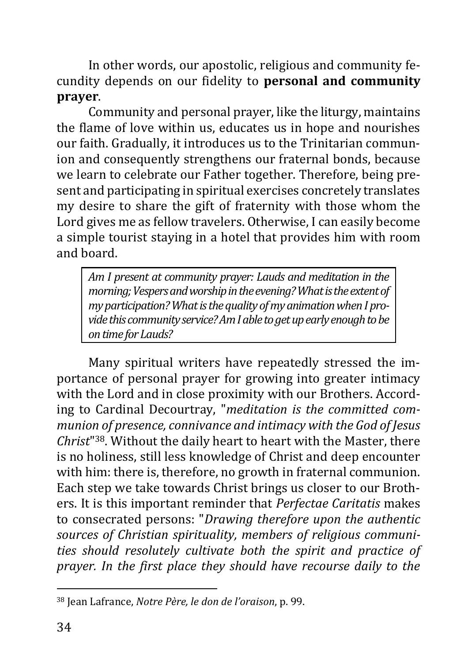In other words, our apostolic, religious and community fecundity depends on our fidelity to **personal and community prayer**.

Community and personal prayer, like the liturgy, maintains the flame of love within us, educates us in hope and nourishes our faith. Gradually, it introduces us to the Trinitarian communion and consequently strengthens our fraternal bonds, because we learn to celebrate our Father together. Therefore, being present and participating in spiritual exercises concretely translates my desire to share the gift of fraternity with those whom the Lord gives me as fellow travelers. Otherwise, I can easily become a simple tourist staying in a hotel that provides him with room and board.

*Am I present at community prayer: Lauds and meditation in the morning; Vespers and worship in the evening? What is the extent of my participation? What is the quality of my animation when I provide this community service? Am I able to get up early enough to be on time for Lauds?*

Many spiritual writers have repeatedly stressed the importance of personal prayer for growing into greater intimacy with the Lord and in close proximity with our Brothers. According to Cardinal Decourtray, "*meditation is the committed communion of presence, connivance and intimacy with the God of Jesus Christ*" <sup>38</sup>. Without the daily heart to heart with the Master, there is no holiness, still less knowledge of Christ and deep encounter with him: there is, therefore, no growth in fraternal communion. Each step we take towards Christ brings us closer to our Brothers. It is this important reminder that *Perfectae Caritatis* makes to consecrated persons: "*Drawing therefore upon the authentic sources of Christian spirituality, members of religious communities should resolutely cultivate both the spirit and practice of prayer. In the first place they should have recourse daily to the* 

<sup>38</sup> Jean Lafrance, *Notre Père, le don de l'oraison*, p. 99.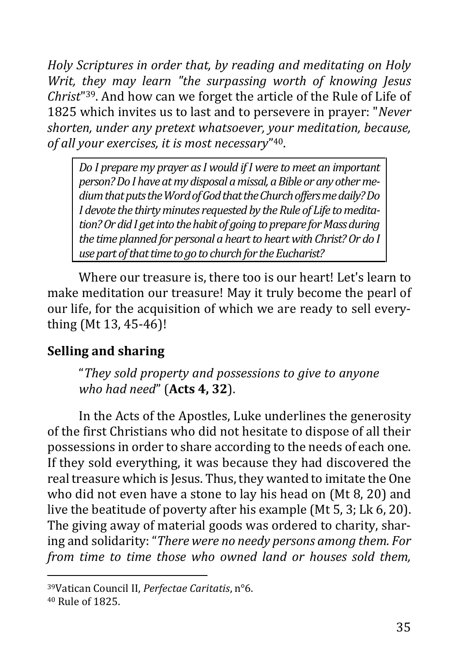*Holy Scriptures in order that, by reading and meditating on Holy Writ, they may learn "the surpassing worth of knowing Jesus Christ*" <sup>39</sup>. And how can we forget the article of the Rule of Life of 1825 which invites us to last and to persevere in prayer: "*Never shorten, under any pretext whatsoever, your meditation, because, of all your exercises, it is most necessary*" 40.

*Do I prepare my prayer as I would if I were to meet an important person? Do I have at my disposal a missal, a Bible or any other medium that puts the Word of God that the Church offers me daily? Do I devote the thirty minutes requested by the Rule of Life to meditation? Or did I get into the habit of going to prepare for Mass during the time planned for personal a heart to heart with Christ? Or do I use part of that time to go to church for the Eucharist?*

Where our treasure is, there too is our heart! Let's learn to make meditation our treasure! May it truly become the pearl of our life, for the acquisition of which we are ready to sell everything (Mt 13, 45-46)!

## <span id="page-34-0"></span>**Selling and sharing**

"*They sold property and possessions to give to anyone who had need*" (**Acts 4, 32**).

In the Acts of the Apostles, Luke underlines the generosity of the first Christians who did not hesitate to dispose of all their possessions in order to share according to the needs of each one. If they sold everything, it was because they had discovered the real treasure which is Jesus. Thus, they wanted to imitate the One who did not even have a stone to lay his head on (Mt 8, 20) and live the beatitude of poverty after his example (Mt 5, 3; Lk 6, 20). The giving away of material goods was ordered to charity, sharing and solidarity: "*There were no needy persons among them. For from time to time those who owned land or houses sold them,* 

<sup>39</sup>Vatican Council II, *Perfectae Caritatis*, n°6.

<sup>40</sup> Rule of 1825.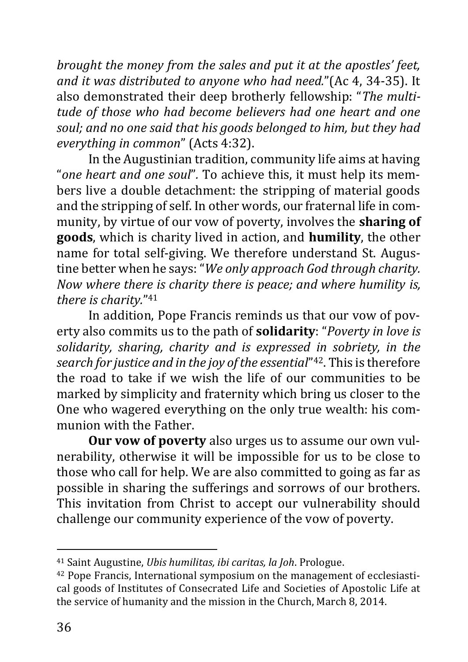*brought the money from the sales and put it at the apostles' feet, and it was distributed to anyone who had need.*"(Ac 4, 34-35). It also demonstrated their deep brotherly fellowship: "*The multitude of those who had become believers had one heart and one soul; and no one said that his goods belonged to him, but they had everything in common*" (Acts 4:32).

In the Augustinian tradition, community life aims at having "*one heart and one soul*"*.* To achieve this, it must help its members live a double detachment: the stripping of material goods and the stripping of self. In other words, our fraternal life in community, by virtue of our vow of poverty, involves the **sharing of goods**, which is charity lived in action, and **humility**, the other name for total self-giving. We therefore understand St. Augustine better when he says: "*We only approach God through charity. Now where there is charity there is peace; and where humility is, there is charity.*" 41

In addition, Pope Francis reminds us that our vow of poverty also commits us to the path of **solidarity**: "*Poverty in love is solidarity, sharing, charity and is expressed in sobriety, in the search for justice and in the joy of the essential*" <sup>42</sup>. This is therefore the road to take if we wish the life of our communities to be marked by simplicity and fraternity which bring us closer to the One who wagered everything on the only true wealth: his communion with the Father.

**Our vow of poverty** also urges us to assume our own vulnerability, otherwise it will be impossible for us to be close to those who call for help. We are also committed to going as far as possible in sharing the sufferings and sorrows of our brothers. This invitation from Christ to accept our vulnerability should challenge our community experience of the vow of poverty.

<sup>41</sup> Saint Augustine, *Ubis humilitas, ibi caritas, la Joh*. Prologue.

<sup>42</sup> Pope Francis, International symposium on the management of ecclesiastical goods of Institutes of Consecrated Life and Societies of Apostolic Life at the service of humanity and the mission in the Church, March 8, 2014.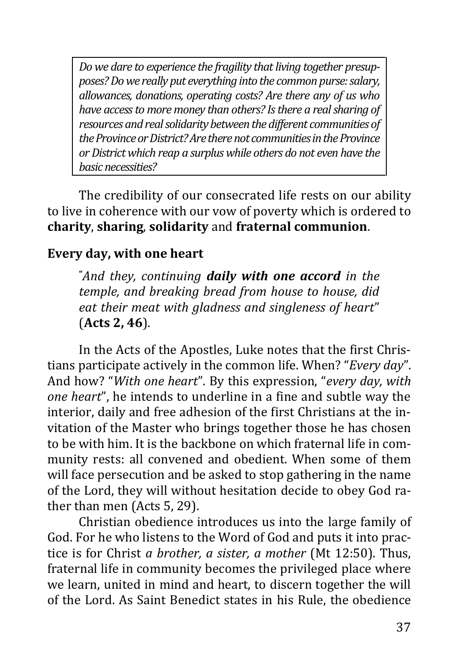*Do we dare to experience the fragility that living together presupposes? Do we really put everything into the common purse: salary, allowances, donations, operating costs? Are there any of us who have access to more money than others? Is there a real sharing of resources and real solidarity between the different communities of the Province or District? Are there not communities in the Province or District which reap a surplus while others do not even have the basic necessities?*

The credibility of our consecrated life rests on our ability to live in coherence with our vow of poverty which is ordered to **charity**, **sharing**, **solidarity** and **fraternal communion**.

### <span id="page-36-0"></span>**Every day, with one heart**

**"***And they, continuing daily with one accord in the temple, and breaking bread from house to house, did eat their meat with gladness and singleness of heart*" (**Acts 2, 46**).

In the Acts of the Apostles, Luke notes that the first Christians participate actively in the common life. When? "*Every day*". And how? "*With one heart*". By this expression, "*every day, with one heart*", he intends to underline in a fine and subtle way the interior, daily and free adhesion of the first Christians at the invitation of the Master who brings together those he has chosen to be with him. It is the backbone on which fraternal life in community rests: all convened and obedient. When some of them will face persecution and be asked to stop gathering in the name of the Lord, they will without hesitation decide to obey God rather than men (Acts 5, 29).

Christian obedience introduces us into the large family of God. For he who listens to the Word of God and puts it into practice is for Christ *a brother, a sister, a mother* (Mt 12:50). Thus, fraternal life in community becomes the privileged place where we learn, united in mind and heart, to discern together the will of the Lord. As Saint Benedict states in his Rule, the obedience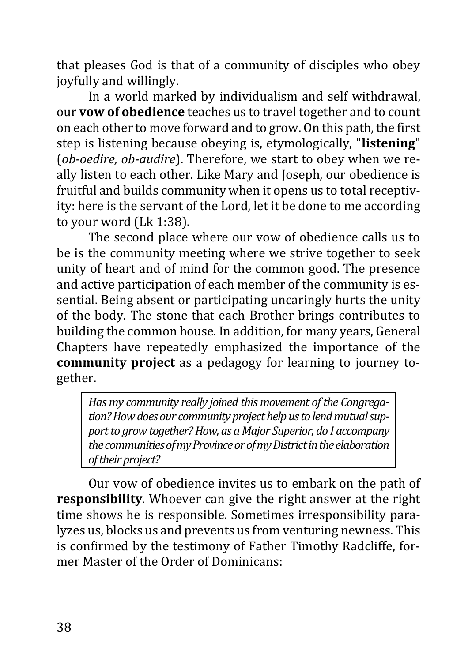that pleases God is that of a community of disciples who obey joyfully and willingly.

In a world marked by individualism and self withdrawal, our **vow of obedience** teaches us to travel together and to count on each other to move forward and to grow. On this path, the first step is listening because obeying is, etymologically, "**listening**" (*ob-oedire, ob-audire*). Therefore, we start to obey when we really listen to each other. Like Mary and Joseph, our obedience is fruitful and builds community when it opens us to total receptivity: here is the servant of the Lord, let it be done to me according to your word (Lk 1:38).

The second place where our vow of obedience calls us to be is the community meeting where we strive together to seek unity of heart and of mind for the common good. The presence and active participation of each member of the community is essential. Being absent or participating uncaringly hurts the unity of the body. The stone that each Brother brings contributes to building the common house. In addition, for many years, General Chapters have repeatedly emphasized the importance of the **community project** as a pedagogy for learning to journey together.

*Has my community really joined this movement of the Congregation? How does our community project help us to lend mutual support to grow together? How, as a Major Superior, do I accompany the communities of my Province or of my District in the elaboration of their project?*

Our vow of obedience invites us to embark on the path of **responsibility**. Whoever can give the right answer at the right time shows he is responsible. Sometimes irresponsibility paralyzes us, blocks us and prevents us from venturing newness. This is confirmed by the testimony of Father Timothy Radcliffe, former Master of the Order of Dominicans: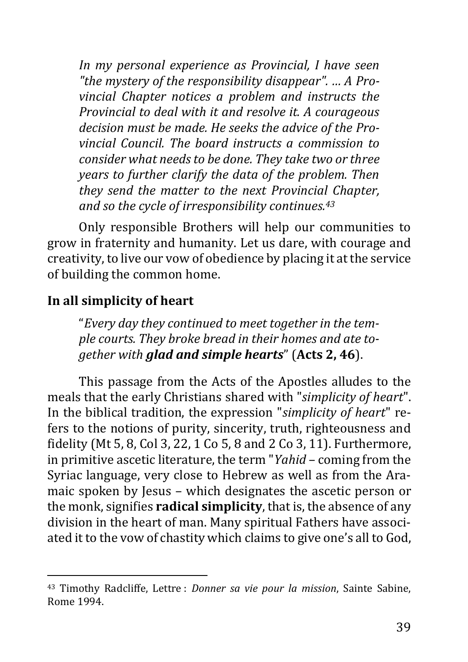*In my personal experience as Provincial, I have seen "the mystery of the responsibility disappear". … A Provincial Chapter notices a problem and instructs the Provincial to deal with it and resolve it. A courageous decision must be made. He seeks the advice of the Provincial Council. The board instructs a commission to consider what needs to be done. They take two or three years to further clarify the data of the problem. Then they send the matter to the next Provincial Chapter, and so the cycle of irresponsibility continues.<sup>43</sup>*

Only responsible Brothers will help our communities to grow in fraternity and humanity. Let us dare, with courage and creativity, to live our vow of obedience by placing it at the service of building the common home.

### <span id="page-38-0"></span>**In all simplicity of heart**

"*Every day they continued to meet together in the temple courts. They broke bread in their homes and ate together with glad and simple hearts*" (**Acts 2, 46**).

This passage from the Acts of the Apostles alludes to the meals that the early Christians shared with "*simplicity of heart*". In the biblical tradition, the expression "*simplicity of heart*" refers to the notions of purity, sincerity, truth, righteousness and fidelity (Mt 5, 8, Col 3, 22, 1 Co 5, 8 and 2 Co 3, 11). Furthermore, in primitive ascetic literature, the term "*Yahid* – coming from the Syriac language, very close to Hebrew as well as from the Aramaic spoken by Jesus – which designates the ascetic person or the monk, signifies **radical simplicity**, that is, the absence of any division in the heart of man. Many spiritual Fathers have associated it to the vow of chastity which claims to give one's all to God,

<sup>43</sup> Timothy Radcliffe, Lettre : *Donner sa vie pour la mission*, Sainte Sabine, Rome 1994.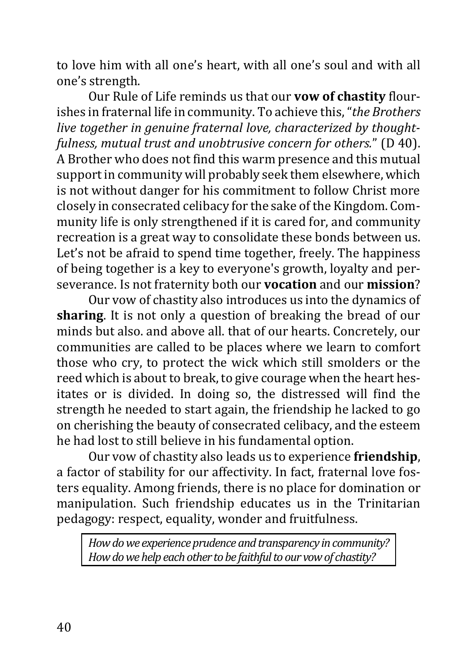to love him with all one's heart, with all one's soul and with all one's strength.

Our Rule of Life reminds us that our **vow of chastity** flourishes in fraternal life in community. To achieve this, "*the Brothers live together in genuine fraternal love, characterized by thoughtfulness, mutual trust and unobtrusive concern for others.*" (D 40). A Brother who does not find this warm presence and this mutual support in community will probably seek them elsewhere, which is not without danger for his commitment to follow Christ more closely in consecrated celibacy for the sake of the Kingdom. Community life is only strengthened if it is cared for, and community recreation is a great way to consolidate these bonds between us. Let's not be afraid to spend time together, freely. The happiness of being together is a key to everyone's growth, loyalty and perseverance. Is not fraternity both our **vocation** and our **mission**?

Our vow of chastity also introduces us into the dynamics of **sharing**. It is not only a question of breaking the bread of our minds but also. and above all. that of our hearts. Concretely, our communities are called to be places where we learn to comfort those who cry, to protect the wick which still smolders or the reed which is about to break, to give courage when the heart hesitates or is divided. In doing so, the distressed will find the strength he needed to start again, the friendship he lacked to go on cherishing the beauty of consecrated celibacy, and the esteem he had lost to still believe in his fundamental option.

Our vow of chastity also leads us to experience **friendship**, a factor of stability for our affectivity. In fact, fraternal love fosters equality. Among friends, there is no place for domination or manipulation. Such friendship educates us in the Trinitarian pedagogy: respect, equality, wonder and fruitfulness.

*How do we experience prudence and transparency in community? How do we help each other to be faithful to our vow of chastity?*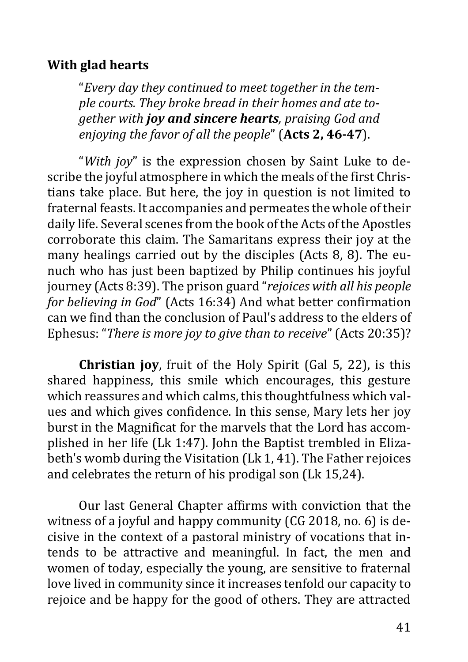### <span id="page-40-0"></span>**With glad hearts**

"*Every day they continued to meet together in the temple courts. They broke bread in their homes and ate together with joy and sincere hearts, praising God and enjoying the favor of all the people*" (**Acts 2, 46-47**).

"*With joy*" is the expression chosen by Saint Luke to describe the joyful atmosphere in which the meals of the first Christians take place. But here, the joy in question is not limited to fraternal feasts. It accompanies and permeates the whole of their daily life. Several scenes from the book of the Acts of the Apostles corroborate this claim. The Samaritans express their joy at the many healings carried out by the disciples (Acts 8, 8). The eunuch who has just been baptized by Philip continues his joyful journey (Acts 8:39). The prison guard "*rejoices with all his people for believing in God*" (Acts 16:34) And what better confirmation can we find than the conclusion of Paul's address to the elders of Ephesus: "*There is more joy to give than to receive*" (Acts 20:35)?

**Christian joy**, fruit of the Holy Spirit (Gal 5, 22), is this shared happiness, this smile which encourages, this gesture which reassures and which calms, this thoughtfulness which values and which gives confidence. In this sense, Mary lets her joy burst in the Magnificat for the marvels that the Lord has accomplished in her life (Lk 1:47). John the Baptist trembled in Elizabeth's womb during the Visitation (Lk 1, 41). The Father rejoices and celebrates the return of his prodigal son (Lk 15,24).

Our last General Chapter affirms with conviction that the witness of a joyful and happy community (CG 2018, no. 6) is decisive in the context of a pastoral ministry of vocations that intends to be attractive and meaningful. In fact, the men and women of today, especially the young, are sensitive to fraternal love lived in community since it increases tenfold our capacity to rejoice and be happy for the good of others. They are attracted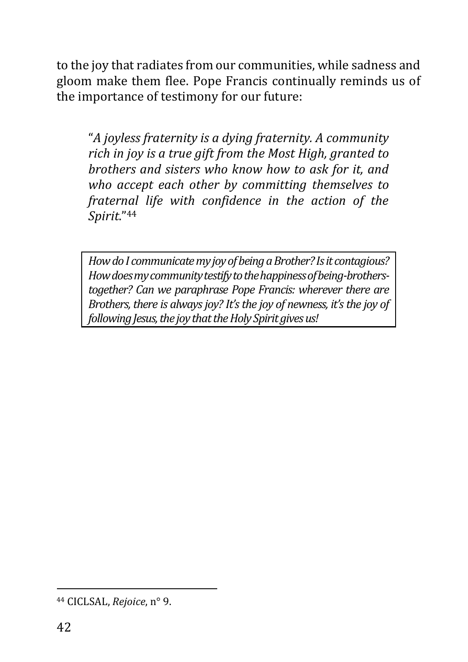to the joy that radiates from our communities, while sadness and gloom make them flee. Pope Francis continually reminds us of the importance of testimony for our future:

"*A joyless fraternity is a dying fraternity. A community rich in joy is a true gift from the Most High, granted to brothers and sisters who know how to ask for it, and who accept each other by committing themselves to fraternal life with confidence in the action of the Spirit*." 44

*How do I communicate my joy of being a Brother? Is it contagious? How does mycommunity testify to the happiness of being-brotherstogether? Can we paraphrase Pope Francis: wherever there are Brothers, there is always joy? It's the joy of newness, it's the joy of following Jesus, the joy that the Holy Spirit gives us!*

<sup>44</sup> CICLSAL, *Rejoice*, n° 9.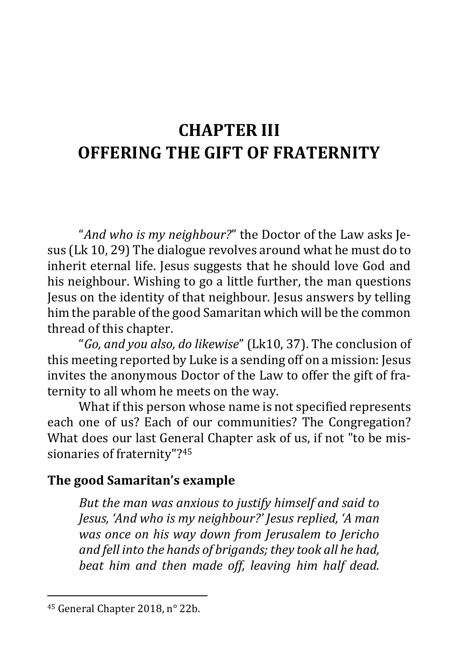# <span id="page-42-0"></span>**CHAPTER III OFFERING THE GIFT OF FRATERNITY**

"*And who is my neighbour?*" the Doctor of the Law asks Jesus (Lk 10, 29) The dialogue revolves around what he must do to inherit eternal life. Jesus suggests that he should love God and his neighbour. Wishing to go a little further, the man questions Jesus on the identity of that neighbour. Jesus answers by telling him the parable of the good Samaritan which will be the common thread of this chapter.

"*Go, and you also, do likewise*" (Lk10, 37). The conclusion of this meeting reported by Luke is a sending off on a mission: Jesus invites the anonymous Doctor of the Law to offer the gift of fraternity to all whom he meets on the way.

What if this person whose name is not specified represents each one of us? Each of our communities? The Congregation? What does our last General Chapter ask of us, if not "to be missionaries of fraternity"?<sup>45</sup>

## <span id="page-42-1"></span>**The good Samaritan's example**

*But the man was anxious to justify himself and said to Jesus, 'And who is my neighbour?' Jesus replied, 'A man was once on his way down from Jerusalem to Jericho and fell into the hands of brigands; they took all he had, beat him and then made off, leaving him half dead.* 

<sup>45</sup> General Chapter 2018, n° 22b.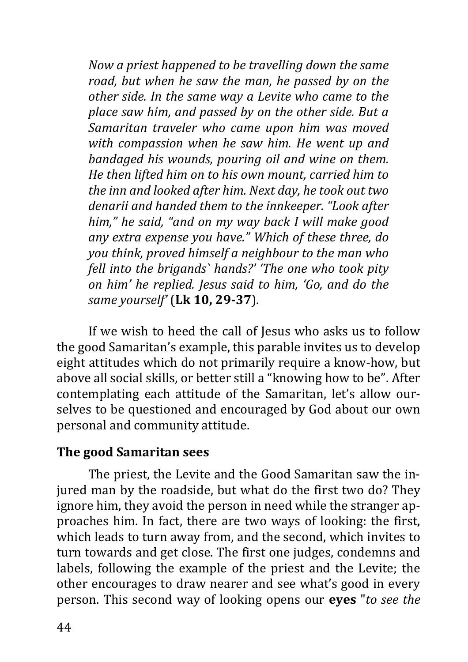*Now a priest happened to be travelling down the same road, but when he saw the man, he passed by on the other side. In the same way a Levite who came to the place saw him, and passed by on the other side. But a Samaritan traveler who came upon him was moved with compassion when he saw him. He went up and bandaged his wounds, pouring oil and wine on them. He then lifted him on to his own mount, carried him to the inn and looked after him. Next day, he took out two denarii and handed them to the innkeeper. "Look after him," he said, "and on my way back I will make good any extra expense you have." Which of these three, do you think, proved himself a neighbour to the man who fell into the brigands` hands?' 'The one who took pity on him' he replied. Jesus said to him, 'Go, and do the same yourself'* (**Lk 10, 29-37**).

If we wish to heed the call of Jesus who asks us to follow the good Samaritan's example, this parable invites us to develop eight attitudes which do not primarily require a know-how, but above all social skills, or better still a "knowing how to be". After contemplating each attitude of the Samaritan, let's allow ourselves to be questioned and encouraged by God about our own personal and community attitude.

### <span id="page-43-0"></span>**The good Samaritan sees**

The priest, the Levite and the Good Samaritan saw the injured man by the roadside, but what do the first two do? They ignore him, they avoid the person in need while the stranger approaches him. In fact, there are two ways of looking: the first, which leads to turn away from, and the second, which invites to turn towards and get close. The first one judges, condemns and labels, following the example of the priest and the Levite; the other encourages to draw nearer and see what's good in every person. This second way of looking opens our **eyes** "*to see the*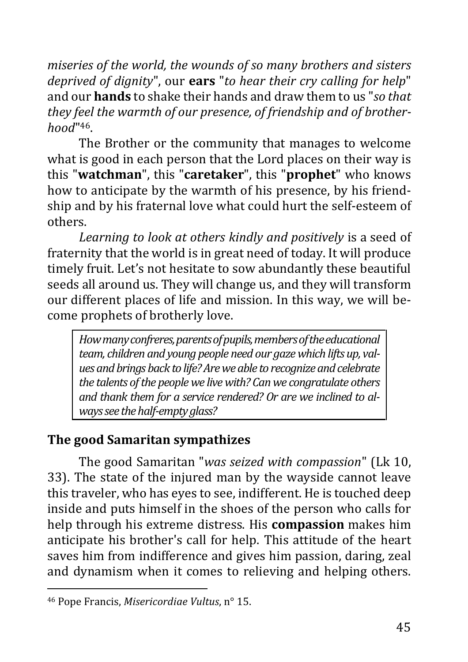*miseries of the world, the wounds of so many brothers and sisters deprived of dignity*", our **ears** "*to hear their cry calling for help*" and our **hands** to shake their hands and draw them to us "*so that they feel the warmth of our presence, of friendship and of brotherhood*" 46.

The Brother or the community that manages to welcome what is good in each person that the Lord places on their way is this "**watchman**", this "**caretaker**", this "**prophet**" who knows how to anticipate by the warmth of his presence, by his friendship and by his fraternal love what could hurt the self-esteem of others.

*Learning to look at others kindly and positively* is a seed of fraternity that the world is in great need of today. It will produce timely fruit. Let's not hesitate to sow abundantly these beautiful seeds all around us. They will change us, and they will transform our different places of life and mission. In this way, we will become prophets of brotherly love.

*How many confreres, parents of pupils, members of the educational team, children and young people need our gaze which lifts up, values and brings back to life? Are we able to recognize and celebrate the talents of the people we live with? Can we congratulate others and thank them for a service rendered? Or are we inclined to always see the half-empty glass?*

## <span id="page-44-0"></span>**The good Samaritan sympathizes**

The good Samaritan "*was seized with compassion*" (Lk 10, 33). The state of the injured man by the wayside cannot leave this traveler, who has eyes to see, indifferent. He is touched deep inside and puts himself in the shoes of the person who calls for help through his extreme distress. His **compassion** makes him anticipate his brother's call for help. This attitude of the heart saves him from indifference and gives him passion, daring, zeal and dynamism when it comes to relieving and helping others.

<sup>46</sup> Pope Francis, *Misericordiae Vultus*, n° 15.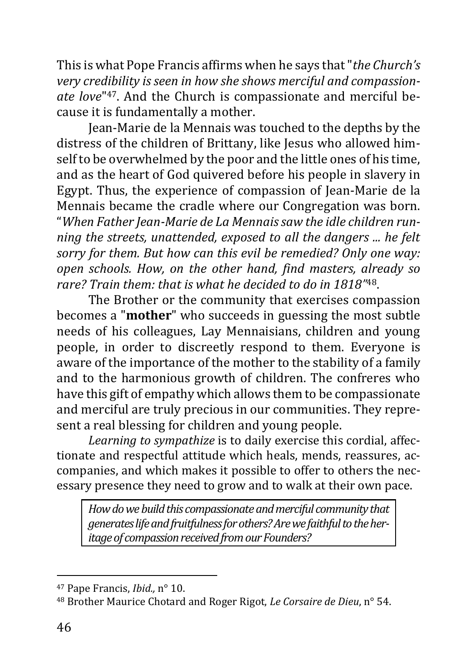This is what Pope Francis affirms when he says that "*the Church's very credibility is seen in how she shows merciful and compassionate love*" 47. And the Church is compassionate and merciful because it is fundamentally a mother.

Jean-Marie de la Mennais was touched to the depths by the distress of the children of Brittany, like Jesus who allowed himself to be overwhelmed by the poor and the little ones of his time, and as the heart of God quivered before his people in slavery in Egypt. Thus, the experience of compassion of Jean-Marie de la Mennais became the cradle where our Congregation was born. "*When Father Jean-Marie de La Mennais saw the idle children running the streets, unattended, exposed to all the dangers ... he felt sorry for them. But how can this evil be remedied? Only one way: open schools. How, on the other hand, find masters, already so rare? Train them: that is what he decided to do in 1818"* 48.

The Brother or the community that exercises compassion becomes a "**mother**" who succeeds in guessing the most subtle needs of his colleagues, Lay Mennaisians, children and young people, in order to discreetly respond to them. Everyone is aware of the importance of the mother to the stability of a family and to the harmonious growth of children. The confreres who have this gift of empathy which allows them to be compassionate and merciful are truly precious in our communities. They represent a real blessing for children and young people.

*Learning to sympathize* is to daily exercise this cordial, affectionate and respectful attitude which heals, mends, reassures, accompanies, and which makes it possible to offer to others the necessary presence they need to grow and to walk at their own pace.

*How do we build this compassionate and merciful community that generates life and fruitfulness for others? Are we faithful to the heritage of compassion received from our Founders?*

<sup>47</sup> Pape Francis, *Ibid.,* n° 10.

<sup>48</sup> Brother Maurice Chotard and Roger Rigot, *Le Corsaire de Dieu*, n° 54.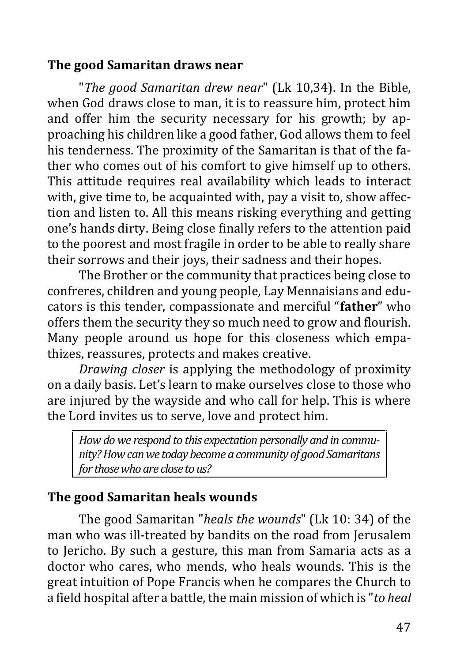### <span id="page-46-0"></span>**The good Samaritan draws near**

"*The good Samaritan drew near*" (Lk 10,34). In the Bible, when God draws close to man, it is to reassure him, protect him and offer him the security necessary for his growth; by approaching his children like a good father, God allows them to feel his tenderness. The proximity of the Samaritan is that of the father who comes out of his comfort to give himself up to others. This attitude requires real availability which leads to interact with, give time to, be acquainted with, pay a visit to, show affection and listen to. All this means risking everything and getting one's hands dirty. Being close finally refers to the attention paid to the poorest and most fragile in order to be able to really share their sorrows and their joys, their sadness and their hopes.

The Brother or the community that practices being close to confreres, children and young people, Lay Mennaisians and educators is this tender, compassionate and merciful "**father**" who offers them the security they so much need to grow and flourish. Many people around us hope for this closeness which empathizes, reassures, protects and makes creative.

*Drawing closer* is applying the methodology of proximity on a daily basis. Let's learn to make ourselves close to those who are injured by the wayside and who call for help. This is where the Lord invites us to serve, love and protect him.

*How do we respond to this expectation personally and in community? How can we today become a community of good Samaritans for those who are close to us?*

## <span id="page-46-1"></span>**The good Samaritan heals wounds**

The good Samaritan "*heals the wounds*" (Lk 10: 34) of the man who was ill-treated by bandits on the road from Jerusalem to Jericho. By such a gesture, this man from Samaria acts as a doctor who cares, who mends, who heals wounds. This is the great intuition of Pope Francis when he compares the Church to a field hospital after a battle, the main mission of which is "*to heal*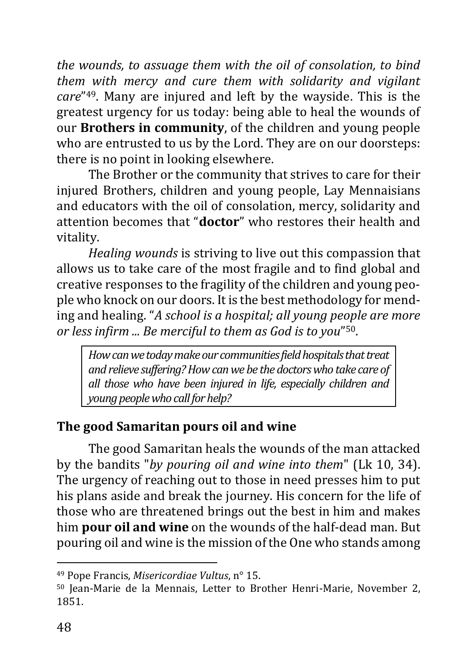*the wounds, to assuage them with the oil of consolation, to bind them with mercy and cure them with solidarity and vigilant care*" <sup>49</sup>. Many are injured and left by the wayside. This is the greatest urgency for us today: being able to heal the wounds of our **Brothers in community**, of the children and young people who are entrusted to us by the Lord. They are on our doorsteps: there is no point in looking elsewhere.

The Brother or the community that strives to care for their injured Brothers, children and young people, Lay Mennaisians and educators with the oil of consolation, mercy, solidarity and attention becomes that "**doctor**" who restores their health and vitality.

*Healing wounds* is striving to live out this compassion that allows us to take care of the most fragile and to find global and creative responses to the fragility of the children and young people who knock on our doors. It is the best methodology for mending and healing. "*A school is a hospital; all young people are more or less infirm ... Be merciful to them as God is to you*" 50.

*How can we today make our communities field hospitals that treat and relieve suffering? How can we be the doctors who take care of all those who have been injured in life, especially children and young people who call forhelp?*

## <span id="page-47-0"></span>**The good Samaritan pours oil and wine**

The good Samaritan heals the wounds of the man attacked by the bandits "*by pouring oil and wine into them*" (Lk 10, 34). The urgency of reaching out to those in need presses him to put his plans aside and break the journey. His concern for the life of those who are threatened brings out the best in him and makes him **pour oil and wine** on the wounds of the half-dead man. But pouring oil and wine is the mission of the One who stands among

<sup>49</sup> Pope Francis, *Misericordiae Vultus*, n° 15.

<sup>50</sup> Jean-Marie de la Mennais, Letter to Brother Henri-Marie, November 2, 1851.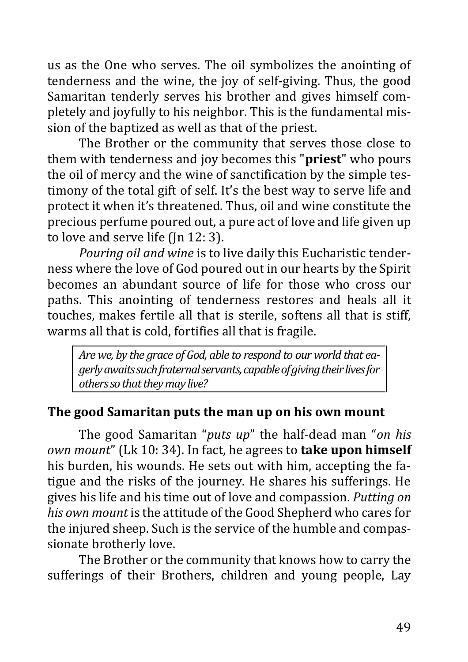us as the One who serves. The oil symbolizes the anointing of tenderness and the wine, the joy of self-giving. Thus, the good Samaritan tenderly serves his brother and gives himself completely and joyfully to his neighbor. This is the fundamental mission of the baptized as well as that of the priest.

The Brother or the community that serves those close to them with tenderness and joy becomes this "**priest**" who pours the oil of mercy and the wine of sanctification by the simple testimony of the total gift of self. It's the best way to serve life and protect it when it's threatened. Thus, oil and wine constitute the precious perfume poured out, a pure act of love and life given up to love and serve life (Jn 12: 3).

*Pouring oil and wine* is to live daily this Eucharistic tenderness where the love of God poured out in our hearts by the Spirit becomes an abundant source of life for those who cross our paths. This anointing of tenderness restores and heals all it touches, makes fertile all that is sterile, softens all that is stiff, warms all that is cold, fortifies all that is fragile.

*Are we, by the grace of God, able to respond to our world that eagerly awaits such fraternal servants, capable of giving their lives for others so that they may live?*

## <span id="page-48-0"></span>**The good Samaritan puts the man up on his own mount**

The good Samaritan "*puts up*" the half-dead man "*on his own mount*" (Lk 10: 34). In fact, he agrees to **take upon himself** his burden, his wounds. He sets out with him, accepting the fatigue and the risks of the journey. He shares his sufferings. He gives his life and his time out of love and compassion. *Putting on his own mount* is the attitude of the Good Shepherd who cares for the injured sheep. Such is the service of the humble and compassionate brotherly love.

The Brother or the community that knows how to carry the sufferings of their Brothers, children and young people, Lay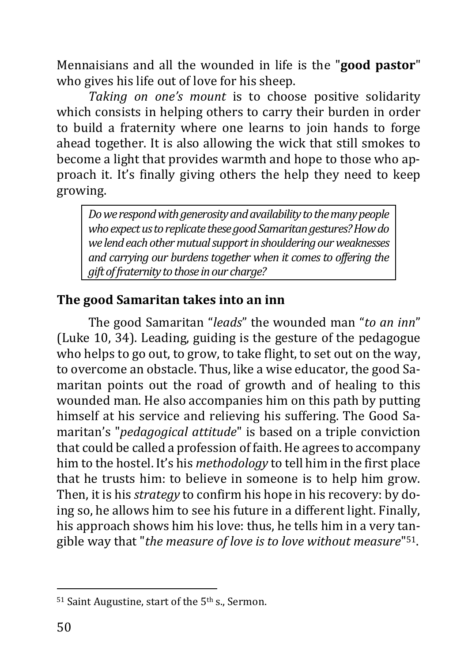Mennaisians and all the wounded in life is the "**good pastor**" who gives his life out of love for his sheep.

*Taking on one's mount* is to choose positive solidarity which consists in helping others to carry their burden in order to build a fraternity where one learns to join hands to forge ahead together. It is also allowing the wick that still smokes to become a light that provides warmth and hope to those who approach it. It's finally giving others the help they need to keep growing.

*Do we respond with generosity and availability to the many people who expect us to replicate these good Samaritan gestures? How do we lend each other mutual support in shouldering our weaknesses and carrying our burdens together when it comes to offering the gift of fraternity to those in our charge?*

## <span id="page-49-0"></span>**The good Samaritan takes into an inn**

The good Samaritan "*leads*" the wounded man "*to an inn*" (Luke 10, 34). Leading, guiding is the gesture of the pedagogue who helps to go out, to grow, to take flight, to set out on the way, to overcome an obstacle. Thus, like a wise educator, the good Samaritan points out the road of growth and of healing to this wounded man. He also accompanies him on this path by putting himself at his service and relieving his suffering. The Good Samaritan's "*pedagogical attitude*" is based on a triple conviction that could be called a profession of faith. He agrees to accompany him to the hostel. It's his *methodology* to tell him in the first place that he trusts him: to believe in someone is to help him grow. Then, it is his *strategy* to confirm his hope in his recovery: by doing so, he allows him to see his future in a different light. Finally, his approach shows him his love: thus, he tells him in a very tangible way that "*the measure of love is to love without measure*" 51.

<sup>&</sup>lt;sup>51</sup> Saint Augustine, start of the 5<sup>th</sup> s., Sermon.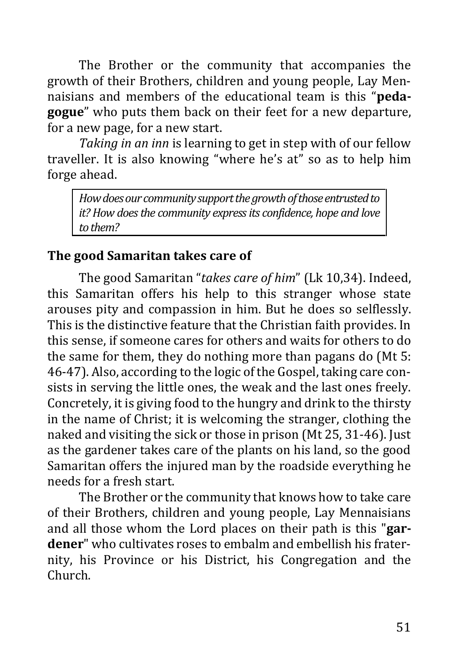The Brother or the community that accompanies the growth of their Brothers, children and young people, Lay Mennaisians and members of the educational team is this "**pedagogue**" who puts them back on their feet for a new departure, for a new page, for a new start.

*Taking in an inn* is learning to get in step with of our fellow traveller. It is also knowing "where he's at" so as to help him forge ahead.

*How does our community support the growth of those entrusted to it? How does the community express its confidence, hope and love to them?*

### <span id="page-50-0"></span>**The good Samaritan takes care of**

The good Samaritan "*takes care of him*" (Lk 10,34). Indeed, this Samaritan offers his help to this stranger whose state arouses pity and compassion in him. But he does so selflessly. This is the distinctive feature that the Christian faith provides. In this sense, if someone cares for others and waits for others to do the same for them, they do nothing more than pagans do (Mt 5: 46-47). Also, according to the logic of the Gospel, taking care consists in serving the little ones, the weak and the last ones freely. Concretely, it is giving food to the hungry and drink to the thirsty in the name of Christ; it is welcoming the stranger, clothing the naked and visiting the sick or those in prison (Mt 25, 31-46). Just as the gardener takes care of the plants on his land, so the good Samaritan offers the injured man by the roadside everything he needs for a fresh start.

The Brother or the community that knows how to take care of their Brothers, children and young people, Lay Mennaisians and all those whom the Lord places on their path is this "**gardener**" who cultivates roses to embalm and embellish his fraternity, his Province or his District, his Congregation and the Church.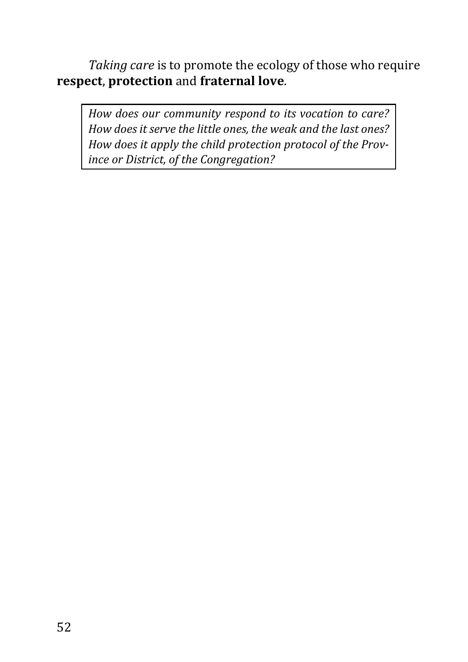*Taking care* is to promote the ecology of those who require **respect**, **protection** and **fraternal love**.

*How does our community respond to its vocation to care? How does it serve the little ones, the weak and the last ones? How does it apply the child protection protocol of the Province or District, of the Congregation?*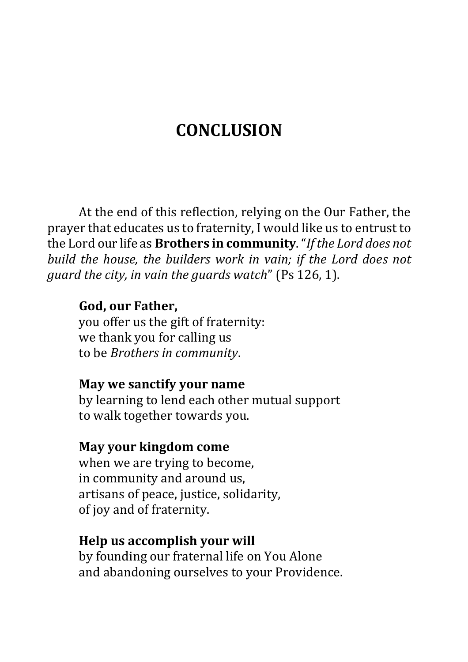## **CONCLUSION**

<span id="page-52-0"></span>At the end of this reflection, relying on the Our Father, the prayer that educates us to fraternity, I would like us to entrust to the Lord our life as **Brothers in community**. "*If the Lord does not build the house, the builders work in vain; if the Lord does not guard the city, in vain the guards watch*" (Ps 126, 1).

### **God, our Father,**

you offer us the gift of fraternity: we thank you for calling us to be *Brothers in community*.

#### **May we sanctify your name**

by learning to lend each other mutual support to walk together towards you.

#### **May your kingdom come**

when we are trying to become, in community and around us, artisans of peace, justice, solidarity, of joy and of fraternity.

### **Help us accomplish your will**

by founding our fraternal life on You Alone and abandoning ourselves to your Providence.